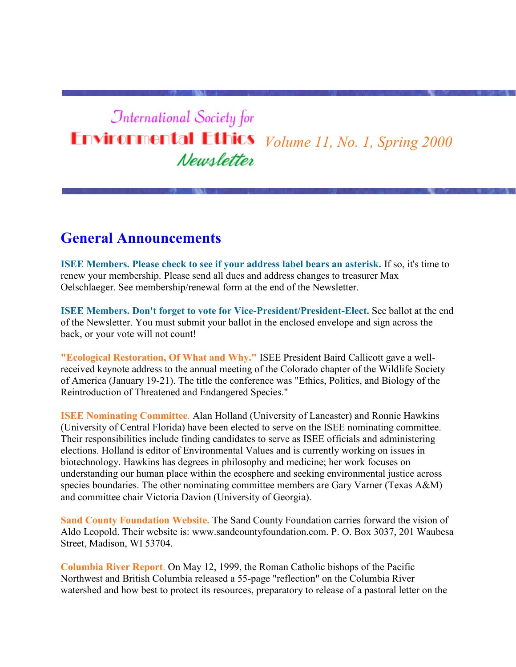# **International Society for Environmental Ethics** *Volume 11, No. 1, Spring 2000* Newsletter

#### **General Announcements**

**ISEE Members. Please check to see if your address label bears an asterisk.** If so, it's time to renew your membership. Please send all dues and address changes to treasurer Max Oelschlaeger. See membership/renewal form at the end of the Newsletter.

**ISEE Members. Don't forget to vote for Vice-President/President-Elect.** See ballot at the end of the Newsletter. You must submit your ballot in the enclosed envelope and sign across the back, or your vote will not count!

**"Ecological Restoration, Of What and Why."** ISEE President Baird Callicott gave a wellreceived keynote address to the annual meeting of the Colorado chapter of the Wildlife Society of America (January 19-21). The title the conference was "Ethics, Politics, and Biology of the Reintroduction of Threatened and Endangered Species."

**ISEE Nominating Committee**. Alan Holland (University of Lancaster) and Ronnie Hawkins (University of Central Florida) have been elected to serve on the ISEE nominating committee. Their responsibilities include finding candidates to serve as ISEE officials and administering elections. Holland is editor of Environmental Values and is currently working on issues in biotechnology. Hawkins has degrees in philosophy and medicine; her work focuses on understanding our human place within the ecosphere and seeking environmental justice across species boundaries. The other nominating committee members are Gary Varner (Texas A&M) and committee chair Victoria Davion (University of Georgia).

**Sand County Foundation Website.** The Sand County Foundation carries forward the vision of Aldo Leopold. Their website is: www.sandcountyfoundation.com. P. O. Box 3037, 201 Waubesa Street, Madison, WI 53704.

**Columbia River Report**. On May 12, 1999, the Roman Catholic bishops of the Pacific Northwest and British Columbia released a 55-page "reflection" on the Columbia River watershed and how best to protect its resources, preparatory to release of a pastoral letter on the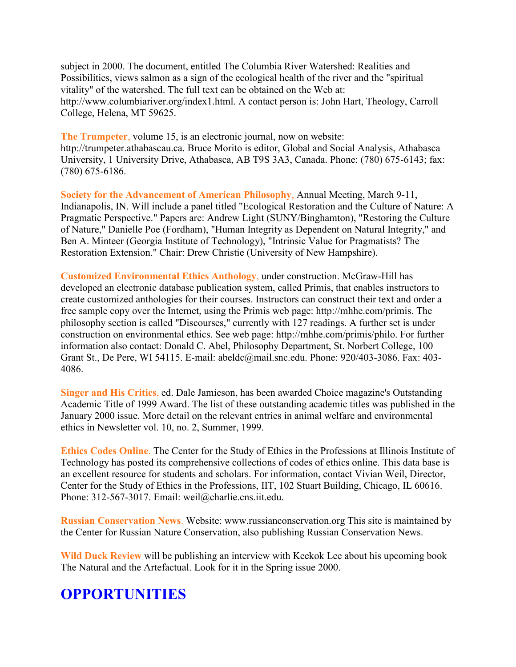subject in 2000. The document, entitled The Columbia River Watershed: Realities and Possibilities, views salmon as a sign of the ecological health of the river and the "spiritual vitality" of the watershed. The full text can be obtained on the Web at: http://www.columbiariver.org/index1.html. A contact person is: John Hart, Theology, Carroll College, Helena, MT 59625.

**The Trumpeter**, volume 15, is an electronic journal, now on website: http://trumpeter.athabascau.ca. Bruce Morito is editor, Global and Social Analysis, Athabasca University, 1 University Drive, Athabasca, AB T9S 3A3, Canada. Phone: (780) 675-6143; fax: (780) 675-6186.

**Society for the Advancement of American Philosophy**, Annual Meeting, March 9-11, Indianapolis, IN. Will include a panel titled "Ecological Restoration and the Culture of Nature: A Pragmatic Perspective." Papers are: Andrew Light (SUNY/Binghamton), "Restoring the Culture of Nature," Danielle Poe (Fordham), "Human Integrity as Dependent on Natural Integrity," and Ben A. Minteer (Georgia Institute of Technology), "Intrinsic Value for Pragmatists? The Restoration Extension." Chair: Drew Christie (University of New Hampshire).

**Customized Environmental Ethics Anthology**, under construction. McGraw-Hill has developed an electronic database publication system, called Primis, that enables instructors to create customized anthologies for their courses. Instructors can construct their text and order a free sample copy over the Internet, using the Primis web page: http://mhhe.com/primis. The philosophy section is called "Discourses," currently with 127 readings. A further set is under construction on environmental ethics. See web page: http://mhhe.com/primis/philo. For further information also contact: Donald C. Abel, Philosophy Department, St. Norbert College, 100 Grant St., De Pere, WI 54115. E-mail: abeldc@mail.snc.edu. Phone: 920/403-3086. Fax: 403- 4086.

**Singer and His Critics**, ed. Dale Jamieson, has been awarded Choice magazine's Outstanding Academic Title of 1999 Award. The list of these outstanding academic titles was published in the January 2000 issue. More detail on the relevant entries in animal welfare and environmental ethics in Newsletter vol. 10, no. 2, Summer, 1999.

**Ethics Codes Online**. The Center for the Study of Ethics in the Professions at Illinois Institute of Technology has posted its comprehensive collections of codes of ethics online. This data base is an excellent resource for students and scholars. For information, contact Vivian Weil, Director, Center for the Study of Ethics in the Professions, IIT, 102 Stuart Building, Chicago, IL 60616. Phone: 312-567-3017. Email: weil@charlie.cns.iit.edu.

**Russian Conservation News**. Website: www.russianconservation.org This site is maintained by the Center for Russian Nature Conservation, also publishing Russian Conservation News.

**Wild Duck Review** will be publishing an interview with Keekok Lee about his upcoming book The Natural and the Artefactual. Look for it in the Spring issue 2000.

## **OPPORTUNITIES**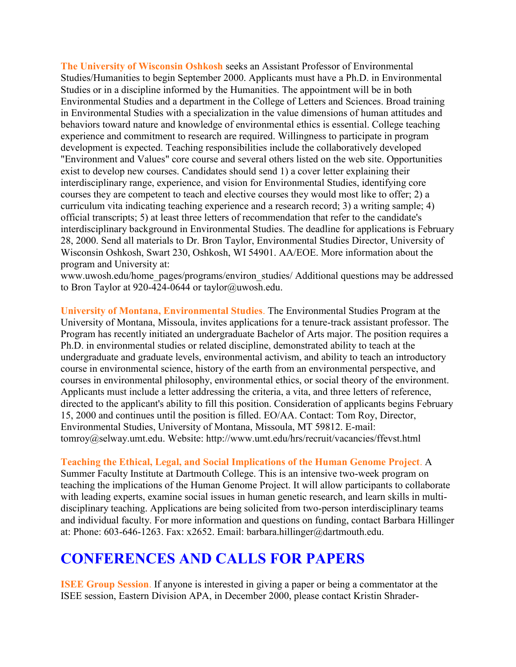**The University of Wisconsin Oshkosh** seeks an Assistant Professor of Environmental Studies/Humanities to begin September 2000. Applicants must have a Ph.D. in Environmental Studies or in a discipline informed by the Humanities. The appointment will be in both Environmental Studies and a department in the College of Letters and Sciences. Broad training in Environmental Studies with a specialization in the value dimensions of human attitudes and behaviors toward nature and knowledge of environmental ethics is essential. College teaching experience and commitment to research are required. Willingness to participate in program development is expected. Teaching responsibilities include the collaboratively developed "Environment and Values" core course and several others listed on the web site. Opportunities exist to develop new courses. Candidates should send 1) a cover letter explaining their interdisciplinary range, experience, and vision for Environmental Studies, identifying core courses they are competent to teach and elective courses they would most like to offer; 2) a curriculum vita indicating teaching experience and a research record; 3) a writing sample; 4) official transcripts; 5) at least three letters of recommendation that refer to the candidate's interdisciplinary background in Environmental Studies. The deadline for applications is February 28, 2000. Send all materials to Dr. Bron Taylor, Environmental Studies Director, University of Wisconsin Oshkosh, Swart 230, Oshkosh, WI 54901. AA/EOE. More information about the program and University at:

www.uwosh.edu/home\_pages/programs/environ\_studies/ Additional questions may be addressed to Bron Taylor at 920-424-0644 or taylor@uwosh.edu.

**University of Montana, Environmental Studies**. The Environmental Studies Program at the University of Montana, Missoula, invites applications for a tenure-track assistant professor. The Program has recently initiated an undergraduate Bachelor of Arts major. The position requires a Ph.D. in environmental studies or related discipline, demonstrated ability to teach at the undergraduate and graduate levels, environmental activism, and ability to teach an introductory course in environmental science, history of the earth from an environmental perspective, and courses in environmental philosophy, environmental ethics, or social theory of the environment. Applicants must include a letter addressing the criteria, a vita, and three letters of reference, directed to the applicant's ability to fill this position. Consideration of applicants begins February 15, 2000 and continues until the position is filled. EO/AA. Contact: Tom Roy, Director, Environmental Studies, University of Montana, Missoula, MT 59812. E-mail: tomroy@selway.umt.edu. Website: http://www.umt.edu/hrs/recruit/vacancies/ffevst.html

**Teaching the Ethical, Legal, and Social Implications of the Human Genome Project**. A

Summer Faculty Institute at Dartmouth College. This is an intensive two-week program on teaching the implications of the Human Genome Project. It will allow participants to collaborate with leading experts, examine social issues in human genetic research, and learn skills in multidisciplinary teaching. Applications are being solicited from two-person interdisciplinary teams and individual faculty. For more information and questions on funding, contact Barbara Hillinger at: Phone: 603-646-1263. Fax: x2652. Email: barbara.hillinger@dartmouth.edu.

### **CONFERENCES AND CALLS FOR PAPERS**

**ISEE Group Session**. If anyone is interested in giving a paper or being a commentator at the ISEE session, Eastern Division APA, in December 2000, please contact Kristin Shrader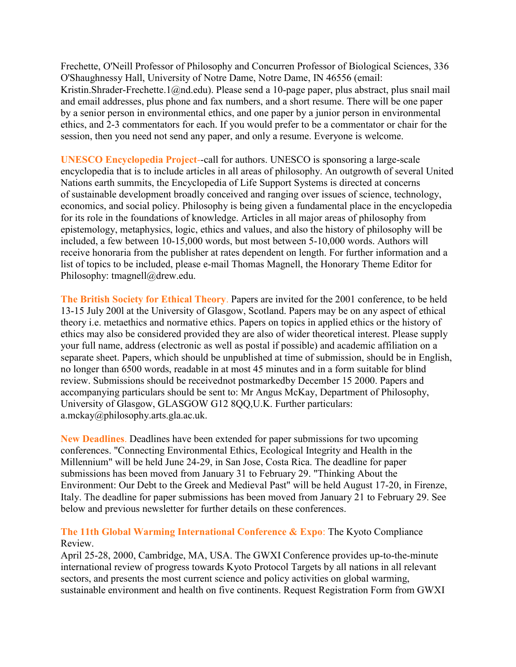Frechette, O'Neill Professor of Philosophy and Concurren Professor of Biological Sciences, 336 O'Shaughnessy Hall, University of Notre Dame, Notre Dame, IN 46556 (email: Kristin.Shrader-Frechette.1@nd.edu). Please send a 10-page paper, plus abstract, plus snail mail and email addresses, plus phone and fax numbers, and a short resume. There will be one paper by a senior person in environmental ethics, and one paper by a junior person in environmental ethics, and 2-3 commentators for each. If you would prefer to be a commentator or chair for the session, then you need not send any paper, and only a resume. Everyone is welcome.

**UNESCO Encyclopedia Project**--call for authors. UNESCO is sponsoring a large-scale encyclopedia that is to include articles in all areas of philosophy. An outgrowth of several United Nations earth summits, the Encyclopedia of Life Support Systems is directed at concerns of sustainable development broadly conceived and ranging over issues of science, technology, economics, and social policy. Philosophy is being given a fundamental place in the encyclopedia for its role in the foundations of knowledge. Articles in all major areas of philosophy from epistemology, metaphysics, logic, ethics and values, and also the history of philosophy will be included, a few between 10-15,000 words, but most between 5-10,000 words. Authors will receive honoraria from the publisher at rates dependent on length. For further information and a list of topics to be included, please e-mail Thomas Magnell, the Honorary Theme Editor for Philosophy: tmagnell@drew.edu.

**The British Society for Ethical Theory**. Papers are invited for the 2001 conference, to be held 13-15 July 200l at the University of Glasgow, Scotland. Papers may be on any aspect of ethical theory i.e. metaethics and normative ethics. Papers on topics in applied ethics or the history of ethics may also be considered provided they are also of wider theoretical interest. Please supply your full name, address (electronic as well as postal if possible) and academic affiliation on a separate sheet. Papers, which should be unpublished at time of submission, should be in English, no longer than 6500 words, readable in at most 45 minutes and in a form suitable for blind review. Submissions should be receivednot postmarkedby December 15 2000. Papers and accompanying particulars should be sent to: Mr Angus McKay, Department of Philosophy, University of Glasgow, GLASGOW G12 8QQ,U.K. Further particulars: a.mckay@philosophy.arts.gla.ac.uk.

**New Deadlines**. Deadlines have been extended for paper submissions for two upcoming conferences. "Connecting Environmental Ethics, Ecological Integrity and Health in the Millennium" will be held June 24-29, in San Jose, Costa Rica. The deadline for paper submissions has been moved from January 31 to February 29. "Thinking About the Environment: Our Debt to the Greek and Medieval Past" will be held August 17-20, in Firenze, Italy. The deadline for paper submissions has been moved from January 21 to February 29. See below and previous newsletter for further details on these conferences.

#### **The 11th Global Warming International Conference & Expo**: The Kyoto Compliance Review.

April 25-28, 2000, Cambridge, MA, USA. The GWXI Conference provides up-to-the-minute international review of progress towards Kyoto Protocol Targets by all nations in all relevant sectors, and presents the most current science and policy activities on global warming, sustainable environment and health on five continents. Request Registration Form from GWXI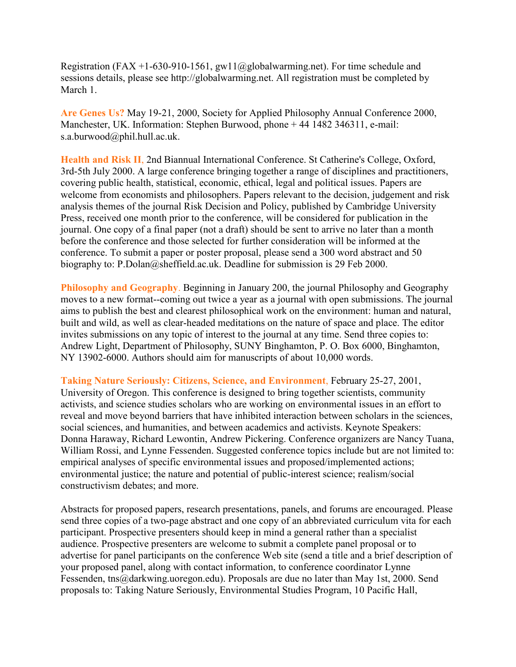Registration (FAX +1-630-910-1561, gw11@globalwarming.net). For time schedule and sessions details, please see http://globalwarming.net. All registration must be completed by March 1

**Are Genes Us?** May 19-21, 2000, Society for Applied Philosophy Annual Conference 2000, Manchester, UK. Information: Stephen Burwood, phone + 44 1482 346311, e-mail: s.a.burwood@phil.hull.ac.uk.

**Health and Risk II**, 2nd Biannual International Conference. St Catherine's College, Oxford, 3rd-5th July 2000. A large conference bringing together a range of disciplines and practitioners, covering public health, statistical, economic, ethical, legal and political issues. Papers are welcome from economists and philosophers. Papers relevant to the decision, judgement and risk analysis themes of the journal Risk Decision and Policy, published by Cambridge University Press, received one month prior to the conference, will be considered for publication in the journal. One copy of a final paper (not a draft) should be sent to arrive no later than a month before the conference and those selected for further consideration will be informed at the conference. To submit a paper or poster proposal, please send a 300 word abstract and 50 biography to: P.Dolan@sheffield.ac.uk. Deadline for submission is 29 Feb 2000.

**Philosophy and Geography**. Beginning in January 200, the journal Philosophy and Geography moves to a new format--coming out twice a year as a journal with open submissions. The journal aims to publish the best and clearest philosophical work on the environment: human and natural, built and wild, as well as clear-headed meditations on the nature of space and place. The editor invites submissions on any topic of interest to the journal at any time. Send three copies to: Andrew Light, Department of Philosophy, SUNY Binghamton, P. O. Box 6000, Binghamton, NY 13902-6000. Authors should aim for manuscripts of about 10,000 words.

**Taking Nature Seriously: Citizens, Science, and Environment**, February 25-27, 2001, University of Oregon. This conference is designed to bring together scientists, community activists, and science studies scholars who are working on environmental issues in an effort to reveal and move beyond barriers that have inhibited interaction between scholars in the sciences, social sciences, and humanities, and between academics and activists. Keynote Speakers: Donna Haraway, Richard Lewontin, Andrew Pickering. Conference organizers are Nancy Tuana, William Rossi, and Lynne Fessenden. Suggested conference topics include but are not limited to: empirical analyses of specific environmental issues and proposed/implemented actions; environmental justice; the nature and potential of public-interest science; realism/social constructivism debates; and more.

Abstracts for proposed papers, research presentations, panels, and forums are encouraged. Please send three copies of a two-page abstract and one copy of an abbreviated curriculum vita for each participant. Prospective presenters should keep in mind a general rather than a specialist audience. Prospective presenters are welcome to submit a complete panel proposal or to advertise for panel participants on the conference Web site (send a title and a brief description of your proposed panel, along with contact information, to conference coordinator Lynne Fessenden, tns@darkwing.uoregon.edu). Proposals are due no later than May 1st, 2000. Send proposals to: Taking Nature Seriously, Environmental Studies Program, 10 Pacific Hall,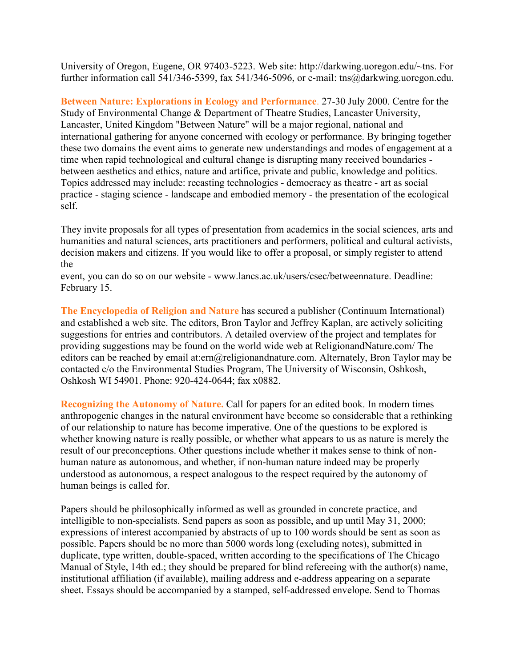University of Oregon, Eugene, OR 97403-5223. Web site: http://darkwing.uoregon.edu/~tns. For further information call 541/346-5399, fax 541/346-5096, or e-mail: tns@darkwing.uoregon.edu.

**Between Nature: Explorations in Ecology and Performance**. 27-30 July 2000. Centre for the Study of Environmental Change & Department of Theatre Studies, Lancaster University, Lancaster, United Kingdom "Between Nature" will be a major regional, national and international gathering for anyone concerned with ecology or performance. By bringing together these two domains the event aims to generate new understandings and modes of engagement at a time when rapid technological and cultural change is disrupting many received boundaries between aesthetics and ethics, nature and artifice, private and public, knowledge and politics. Topics addressed may include: recasting technologies - democracy as theatre - art as social practice - staging science - landscape and embodied memory - the presentation of the ecological self.

They invite proposals for all types of presentation from academics in the social sciences, arts and humanities and natural sciences, arts practitioners and performers, political and cultural activists, decision makers and citizens. If you would like to offer a proposal, or simply register to attend the

event, you can do so on our website - www.lancs.ac.uk/users/csec/betweennature. Deadline: February 15.

**The Encyclopedia of Religion and Nature** has secured a publisher (Continuum International) and established a web site. The editors, Bron Taylor and Jeffrey Kaplan, are actively soliciting suggestions for entries and contributors. A detailed overview of the project and templates for providing suggestions may be found on the world wide web at ReligionandNature.com/ The editors can be reached by email at:ern@religionandnature.com. Alternately, Bron Taylor may be contacted c/o the Environmental Studies Program, The University of Wisconsin, Oshkosh, Oshkosh WI 54901. Phone: 920-424-0644; fax x0882.

**Recognizing the Autonomy of Nature.** Call for papers for an edited book. In modern times anthropogenic changes in the natural environment have become so considerable that a rethinking of our relationship to nature has become imperative. One of the questions to be explored is whether knowing nature is really possible, or whether what appears to us as nature is merely the result of our preconceptions. Other questions include whether it makes sense to think of nonhuman nature as autonomous, and whether, if non-human nature indeed may be properly understood as autonomous, a respect analogous to the respect required by the autonomy of human beings is called for.

Papers should be philosophically informed as well as grounded in concrete practice, and intelligible to non-specialists. Send papers as soon as possible, and up until May 31, 2000; expressions of interest accompanied by abstracts of up to 100 words should be sent as soon as possible. Papers should be no more than 5000 words long (excluding notes), submitted in duplicate, type written, double-spaced, written according to the specifications of The Chicago Manual of Style, 14th ed.; they should be prepared for blind refereeing with the author(s) name, institutional affiliation (if available), mailing address and e-address appearing on a separate sheet. Essays should be accompanied by a stamped, self-addressed envelope. Send to Thomas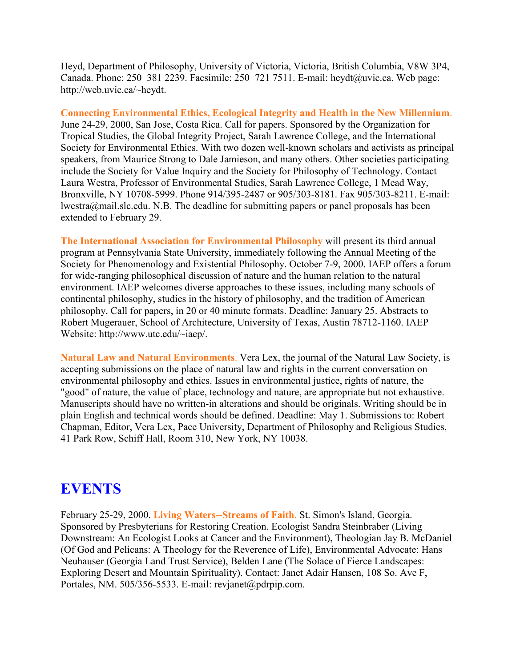Heyd, Department of Philosophy, University of Victoria, Victoria, British Columbia, V8W 3P4, Canada. Phone: 250 381 2239. Facsimile: 250 721 7511. E-mail: heydt@uvic.ca. Web page: http://web.uvic.ca/~heydt.

**Connecting Environmental Ethics, Ecological Integrity and Health in the New Millennium**. June 24-29, 2000, San Jose, Costa Rica. Call for papers. Sponsored by the Organization for Tropical Studies, the Global Integrity Project, Sarah Lawrence College, and the International Society for Environmental Ethics. With two dozen well-known scholars and activists as principal speakers, from Maurice Strong to Dale Jamieson, and many others. Other societies participating include the Society for Value Inquiry and the Society for Philosophy of Technology. Contact Laura Westra, Professor of Environmental Studies, Sarah Lawrence College, 1 Mead Way, Bronxville, NY 10708-5999. Phone 914/395-2487 or 905/303-8181. Fax 905/303-8211. E-mail: lwestra@mail.slc.edu. N.B. The deadline for submitting papers or panel proposals has been extended to February 29.

**The International Association for Environmental Philosophy** will present its third annual program at Pennsylvania State University, immediately following the Annual Meeting of the Society for Phenomenology and Existential Philosophy. October 7-9, 2000. IAEP offers a forum for wide-ranging philosophical discussion of nature and the human relation to the natural environment. IAEP welcomes diverse approaches to these issues, including many schools of continental philosophy, studies in the history of philosophy, and the tradition of American philosophy. Call for papers, in 20 or 40 minute formats. Deadline: January 25. Abstracts to Robert Mugerauer, School of Architecture, University of Texas, Austin 78712-1160. IAEP Website: http://www.utc.edu/~iaep/.

**Natural Law and Natural Environments**. Vera Lex, the journal of the Natural Law Society, is accepting submissions on the place of natural law and rights in the current conversation on environmental philosophy and ethics. Issues in environmental justice, rights of nature, the "good" of nature, the value of place, technology and nature, are appropriate but not exhaustive. Manuscripts should have no written-in alterations and should be originals. Writing should be in plain English and technical words should be defined. Deadline: May 1. Submissions to: Robert Chapman, Editor, Vera Lex, Pace University, Department of Philosophy and Religious Studies, 41 Park Row, Schiff Hall, Room 310, New York, NY 10038.

#### **EVENTS**

February 25-29, 2000. **Living Waters--Streams of Faith**. St. Simon's Island, Georgia. Sponsored by Presbyterians for Restoring Creation. Ecologist Sandra Steinbraber (Living Downstream: An Ecologist Looks at Cancer and the Environment), Theologian Jay B. McDaniel (Of God and Pelicans: A Theology for the Reverence of Life), Environmental Advocate: Hans Neuhauser (Georgia Land Trust Service), Belden Lane (The Solace of Fierce Landscapes: Exploring Desert and Mountain Spirituality). Contact: Janet Adair Hansen, 108 So. Ave F, Portales, NM. 505/356-5533. E-mail: revjanet@pdrpip.com.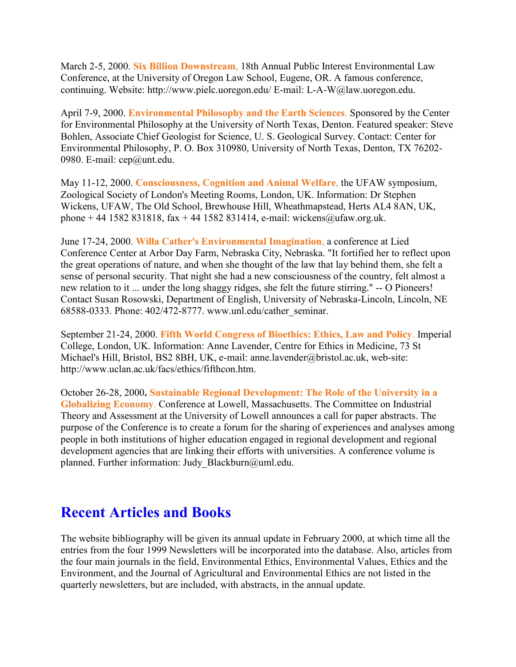March 2-5, 2000. **Six Billion Downstream**, 18th Annual Public Interest Environmental Law Conference, at the University of Oregon Law School, Eugene, OR. A famous conference, continuing. Website: http://www.pielc.uoregon.edu/ E-mail: L-A-W@law.uoregon.edu.

April 7-9, 2000. **Environmental Philosophy and the Earth Sciences**. Sponsored by the Center for Environmental Philosophy at the University of North Texas, Denton. Featured speaker: Steve Bohlen, Associate Chief Geologist for Science, U. S. Geological Survey. Contact: Center for Environmental Philosophy, P. O. Box 310980, University of North Texas, Denton, TX 76202- 0980. E-mail: cep@unt.edu.

May 11-12, 2000. **Consciousness, Cognition and Animal Welfare**, the UFAW symposium, Zoological Society of London's Meeting Rooms, London, UK. Information: Dr Stephen Wickens, UFAW, The Old School, Brewhouse Hill, Wheathmapstead, Herts AL4 8AN, UK, phone + 44 1582 831818, fax + 44 1582 831414, e-mail: wickens@ufaw.org.uk.

June 17-24, 2000. **Willa Cather's Environmental Imagination**, a conference at Lied Conference Center at Arbor Day Farm, Nebraska City, Nebraska. "It fortified her to reflect upon the great operations of nature, and when she thought of the law that lay behind them, she felt a sense of personal security. That night she had a new consciousness of the country, felt almost a new relation to it ... under the long shaggy ridges, she felt the future stirring." -- O Pioneers! Contact Susan Rosowski, Department of English, University of Nebraska-Lincoln, Lincoln, NE 68588-0333. Phone: 402/472-8777. www.unl.edu/cather\_seminar.

September 21-24, 2000. **Fifth World Congress of Bioethics: Ethics, Law and Policy**. Imperial College, London, UK. Information: Anne Lavender, Centre for Ethics in Medicine, 73 St Michael's Hill, Bristol, BS2 8BH, UK, e-mail: anne.lavender@bristol.ac.uk, web-site: http://www.uclan.ac.uk/facs/ethics/fifthcon.htm.

October 26-28, 2000**. Sustainable Regional Development: The Role of the University in a Globalizing Economy**. Conference at Lowell, Massachusetts. The Committee on Industrial Theory and Assessment at the University of Lowell announces a call for paper abstracts. The purpose of the Conference is to create a forum for the sharing of experiences and analyses among people in both institutions of higher education engaged in regional development and regional development agencies that are linking their efforts with universities. A conference volume is planned. Further information: Judy Blackburn@uml.edu.

### **Recent Articles and Books**

The website bibliography will be given its annual update in February 2000, at which time all the entries from the four 1999 Newsletters will be incorporated into the database. Also, articles from the four main journals in the field, Environmental Ethics, Environmental Values, Ethics and the Environment, and the Journal of Agricultural and Environmental Ethics are not listed in the quarterly newsletters, but are included, with abstracts, in the annual update.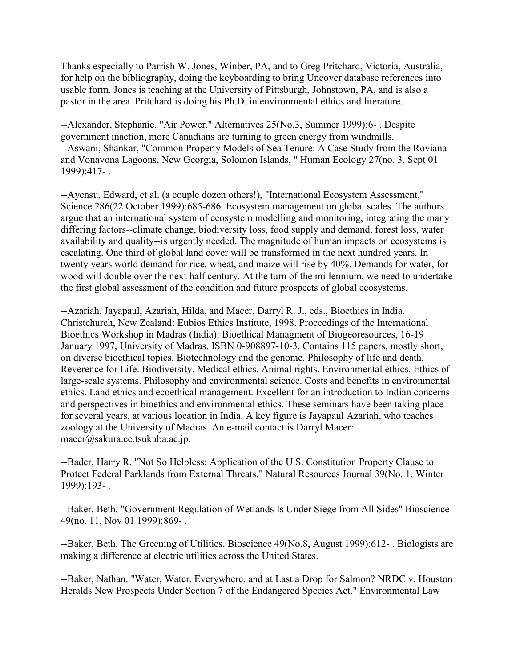Thanks especially to Parrish W. Jones, Winber, PA, and to Greg Pritchard, Victoria, Australia, for help on the bibliography, doing the keyboarding to bring Uncover database references into usable form. Jones is teaching at the University of Pittsburgh, Johnstown, PA, and is also a pastor in the area. Pritchard is doing his Ph.D. in environmental ethics and literature.

--Alexander, Stephanie. "Air Power." Alternatives 25(No.3, Summer 1999):6- . Despite government inaction, more Canadians are turning to green energy from windmills. --Aswani, Shankar, "Common Property Models of Sea Tenure: A Case Study from the Roviana and Vonavona Lagoons, New Georgia, Solomon Islands, " Human Ecology 27(no. 3, Sept 01 1999):417- .

--Ayensu, Edward, et al. (a couple dozen others!), "International Ecosystem Assessment," Science 286(22 October 1999):685-686. Ecosystem management on global scales. The authors argue that an international system of ecosystem modelling and monitoring, integrating the many differing factors--climate change, biodiversity loss, food supply and demand, forest loss, water availability and quality--is urgently needed. The magnitude of human impacts on ecosystems is escalating. One third of global land cover will be transformed in the next hundred years. In twenty years world demand for rice, wheat, and maize will rise by 40%. Demands for water, for wood will double over the next half century. At the turn of the millennium, we need to undertake the first global assessment of the condition and future prospects of global ecosystems.

--Azariah, Jayapaul, Azariah, Hilda, and Macer, Darryl R. J., eds., Bioethics in India. Christchurch, New Zealand: Eubios Ethics Institute, 1998. Proceedings of the International Bioethics Workshop in Madras (India): Bioethical Managment of Biogeoresources, 16-19 January 1997, University of Madras. ISBN 0-908897-10-3. Contains 115 papers, mostly short, on diverse bioethical topics. Biotechnology and the genome. Philosophy of life and death. Reverence for Life. Biodiversity. Medical ethics. Animal rights. Environmental ethics. Ethics of large-scale systems. Philosophy and environmental science. Costs and benefits in environmental ethics. Land ethics and ecoethical management. Excellent for an introduction to Indian concerns and perspectives in bioethics and environmental ethics. These seminars have been taking place for several years, at various location in India. A key figure is Jayapaul Azariah, who teaches zoology at the University of Madras. An e-mail contact is Darryl Macer: macer@sakura.cc.tsukuba.ac.jp.

--Bader, Harry R. "Not So Helpless: Application of the U.S. Constitution Property Clause to Protect Federal Parklands from External Threats." Natural Resources Journal 39(No. 1, Winter 1999):193- .

--Baker, Beth, "Government Regulation of Wetlands Is Under Siege from All Sides" Bioscience 49(no. 11, Nov 01 1999):869- .

--Baker, Beth. The Greening of Utilities. Bioscience 49(No.8, August 1999):612- . Biologists are making a difference at electric utilities across the United States.

--Baker, Nathan. "Water, Water, Everywhere, and at Last a Drop for Salmon? NRDC v. Houston Heralds New Prospects Under Section 7 of the Endangered Species Act." Environmental Law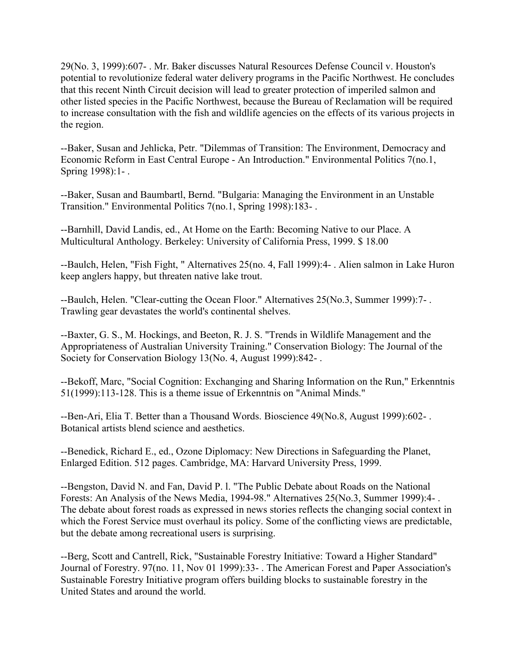29(No. 3, 1999):607- . Mr. Baker discusses Natural Resources Defense Council v. Houston's potential to revolutionize federal water delivery programs in the Pacific Northwest. He concludes that this recent Ninth Circuit decision will lead to greater protection of imperiled salmon and other listed species in the Pacific Northwest, because the Bureau of Reclamation will be required to increase consultation with the fish and wildlife agencies on the effects of its various projects in the region.

--Baker, Susan and Jehlicka, Petr. "Dilemmas of Transition: The Environment, Democracy and Economic Reform in East Central Europe - An Introduction." Environmental Politics 7(no.1, Spring 1998):1- .

--Baker, Susan and Baumbartl, Bernd. "Bulgaria: Managing the Environment in an Unstable Transition." Environmental Politics 7(no.1, Spring 1998):183- .

--Barnhill, David Landis, ed., At Home on the Earth: Becoming Native to our Place. A Multicultural Anthology. Berkeley: University of California Press, 1999. \$ 18.00

--Baulch, Helen, "Fish Fight, " Alternatives 25(no. 4, Fall 1999):4- . Alien salmon in Lake Huron keep anglers happy, but threaten native lake trout.

--Baulch, Helen. "Clear-cutting the Ocean Floor." Alternatives 25(No.3, Summer 1999):7- . Trawling gear devastates the world's continental shelves.

--Baxter, G. S., M. Hockings, and Beeton, R. J. S. "Trends in Wildlife Management and the Appropriateness of Australian University Training." Conservation Biology: The Journal of the Society for Conservation Biology 13(No. 4, August 1999):842- .

--Bekoff, Marc, "Social Cognition: Exchanging and Sharing Information on the Run," Erkenntnis 51(1999):113-128. This is a theme issue of Erkenntnis on "Animal Minds."

--Ben-Ari, Elia T. Better than a Thousand Words. Bioscience 49(No.8, August 1999):602- . Botanical artists blend science and aesthetics.

--Benedick, Richard E., ed., Ozone Diplomacy: New Directions in Safeguarding the Planet, Enlarged Edition. 512 pages. Cambridge, MA: Harvard University Press, 1999.

--Bengston, David N. and Fan, David P. l. "The Public Debate about Roads on the National Forests: An Analysis of the News Media, 1994-98." Alternatives 25(No.3, Summer 1999):4- . The debate about forest roads as expressed in news stories reflects the changing social context in which the Forest Service must overhaul its policy. Some of the conflicting views are predictable, but the debate among recreational users is surprising.

--Berg, Scott and Cantrell, Rick, "Sustainable Forestry Initiative: Toward a Higher Standard" Journal of Forestry. 97(no. 11, Nov 01 1999):33- . The American Forest and Paper Association's Sustainable Forestry Initiative program offers building blocks to sustainable forestry in the United States and around the world.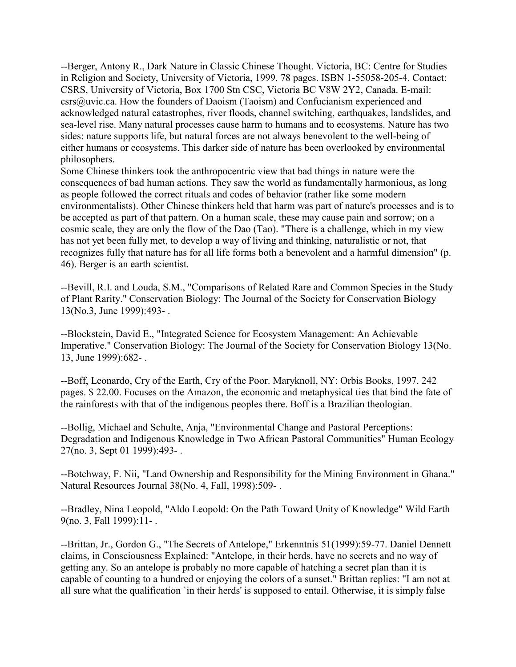--Berger, Antony R., Dark Nature in Classic Chinese Thought. Victoria, BC: Centre for Studies in Religion and Society, University of Victoria, 1999. 78 pages. ISBN 1-55058-205-4. Contact: CSRS, University of Victoria, Box 1700 Stn CSC, Victoria BC V8W 2Y2, Canada. E-mail: csrs@uvic.ca. How the founders of Daoism (Taoism) and Confucianism experienced and acknowledged natural catastrophes, river floods, channel switching, earthquakes, landslides, and sea-level rise. Many natural processes cause harm to humans and to ecosystems. Nature has two sides: nature supports life, but natural forces are not always benevolent to the well-being of either humans or ecosystems. This darker side of nature has been overlooked by environmental philosophers.

Some Chinese thinkers took the anthropocentric view that bad things in nature were the consequences of bad human actions. They saw the world as fundamentally harmonious, as long as people followed the correct rituals and codes of behavior (rather like some modern environmentalists). Other Chinese thinkers held that harm was part of nature's processes and is to be accepted as part of that pattern. On a human scale, these may cause pain and sorrow; on a cosmic scale, they are only the flow of the Dao (Tao). "There is a challenge, which in my view has not yet been fully met, to develop a way of living and thinking, naturalistic or not, that recognizes fully that nature has for all life forms both a benevolent and a harmful dimension" (p. 46). Berger is an earth scientist.

--Bevill, R.I. and Louda, S.M., "Comparisons of Related Rare and Common Species in the Study of Plant Rarity." Conservation Biology: The Journal of the Society for Conservation Biology 13(No.3, June 1999):493- .

--Blockstein, David E., "Integrated Science for Ecosystem Management: An Achievable Imperative." Conservation Biology: The Journal of the Society for Conservation Biology 13(No. 13, June 1999):682- .

--Boff, Leonardo, Cry of the Earth, Cry of the Poor. Maryknoll, NY: Orbis Books, 1997. 242 pages. \$ 22.00. Focuses on the Amazon, the economic and metaphysical ties that bind the fate of the rainforests with that of the indigenous peoples there. Boff is a Brazilian theologian.

--Bollig, Michael and Schulte, Anja, "Environmental Change and Pastoral Perceptions: Degradation and Indigenous Knowledge in Two African Pastoral Communities" Human Ecology 27(no. 3, Sept 01 1999):493- .

--Botchway, F. Nii, "Land Ownership and Responsibility for the Mining Environment in Ghana." Natural Resources Journal 38(No. 4, Fall, 1998):509- .

--Bradley, Nina Leopold, "Aldo Leopold: On the Path Toward Unity of Knowledge" Wild Earth 9(no. 3, Fall 1999):11- .

--Brittan, Jr., Gordon G., "The Secrets of Antelope," Erkenntnis 51(1999):59-77. Daniel Dennett claims, in Consciousness Explained: "Antelope, in their herds, have no secrets and no way of getting any. So an antelope is probably no more capable of hatching a secret plan than it is capable of counting to a hundred or enjoying the colors of a sunset." Brittan replies: "I am not at all sure what the qualification `in their herds' is supposed to entail. Otherwise, it is simply false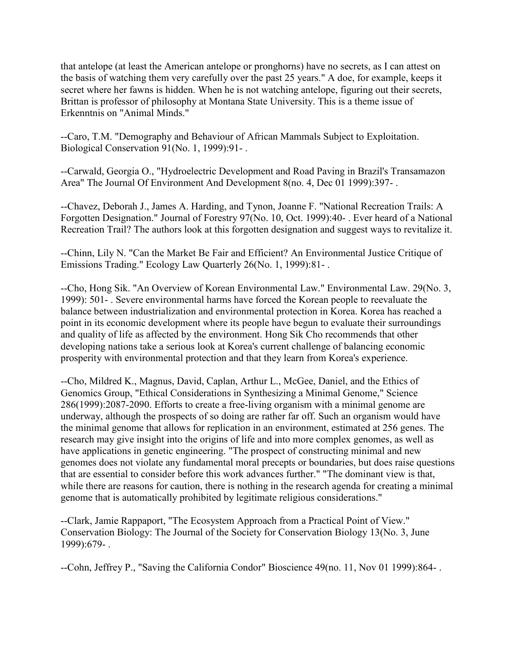that antelope (at least the American antelope or pronghorns) have no secrets, as I can attest on the basis of watching them very carefully over the past 25 years." A doe, for example, keeps it secret where her fawns is hidden. When he is not watching antelope, figuring out their secrets, Brittan is professor of philosophy at Montana State University. This is a theme issue of Erkenntnis on "Animal Minds."

--Caro, T.M. "Demography and Behaviour of African Mammals Subject to Exploitation. Biological Conservation 91(No. 1, 1999):91- .

--Carwald, Georgia O., "Hydroelectric Development and Road Paving in Brazil's Transamazon Area" The Journal Of Environment And Development 8(no. 4, Dec 01 1999):397- .

--Chavez, Deborah J., James A. Harding, and Tynon, Joanne F. "National Recreation Trails: A Forgotten Designation." Journal of Forestry 97(No. 10, Oct. 1999):40- . Ever heard of a National Recreation Trail? The authors look at this forgotten designation and suggest ways to revitalize it.

--Chinn, Lily N. "Can the Market Be Fair and Efficient? An Environmental Justice Critique of Emissions Trading." Ecology Law Quarterly 26(No. 1, 1999):81- .

--Cho, Hong Sik. "An Overview of Korean Environmental Law." Environmental Law. 29(No. 3, 1999): 501- . Severe environmental harms have forced the Korean people to reevaluate the balance between industrialization and environmental protection in Korea. Korea has reached a point in its economic development where its people have begun to evaluate their surroundings and quality of life as affected by the environment. Hong Sik Cho recommends that other developing nations take a serious look at Korea's current challenge of balancing economic prosperity with environmental protection and that they learn from Korea's experience.

--Cho, Mildred K., Magnus, David, Caplan, Arthur L., McGee, Daniel, and the Ethics of Genomics Group, "Ethical Considerations in Synthesizing a Minimal Genome," Science 286(1999):2087-2090. Efforts to create a free-living organism with a minimal genome are underway, although the prospects of so doing are rather far off. Such an organism would have the minimal genome that allows for replication in an environment, estimated at 256 genes. The research may give insight into the origins of life and into more complex genomes, as well as have applications in genetic engineering. "The prospect of constructing minimal and new genomes does not violate any fundamental moral precepts or boundaries, but does raise questions that are essential to consider before this work advances further." "The dominant view is that, while there are reasons for caution, there is nothing in the research agenda for creating a minimal genome that is automatically prohibited by legitimate religious considerations."

--Clark, Jamie Rappaport, "The Ecosystem Approach from a Practical Point of View." Conservation Biology: The Journal of the Society for Conservation Biology 13(No. 3, June 1999):679- .

--Cohn, Jeffrey P., "Saving the California Condor" Bioscience 49(no. 11, Nov 01 1999):864- .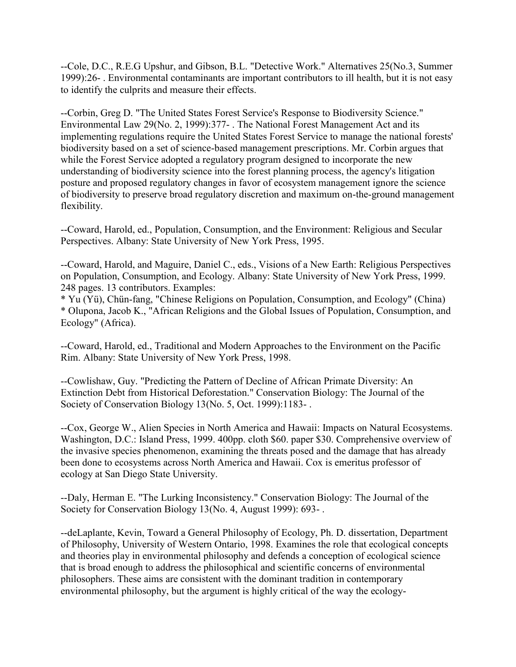--Cole, D.C., R.E.G Upshur, and Gibson, B.L. "Detective Work." Alternatives 25(No.3, Summer 1999):26- . Environmental contaminants are important contributors to ill health, but it is not easy to identify the culprits and measure their effects.

--Corbin, Greg D. "The United States Forest Service's Response to Biodiversity Science." Environmental Law 29(No. 2, 1999):377- . The National Forest Management Act and its implementing regulations require the United States Forest Service to manage the national forests' biodiversity based on a set of science-based management prescriptions. Mr. Corbin argues that while the Forest Service adopted a regulatory program designed to incorporate the new understanding of biodiversity science into the forest planning process, the agency's litigation posture and proposed regulatory changes in favor of ecosystem management ignore the science of biodiversity to preserve broad regulatory discretion and maximum on-the-ground management flexibility.

--Coward, Harold, ed., Population, Consumption, and the Environment: Religious and Secular Perspectives. Albany: State University of New York Press, 1995.

--Coward, Harold, and Maguire, Daniel C., eds., Visions of a New Earth: Religious Perspectives on Population, Consumption, and Ecology. Albany: State University of New York Press, 1999. 248 pages. 13 contributors. Examples:

\* Yu (Yü), Chün-fang, "Chinese Religions on Population, Consumption, and Ecology" (China) \* Olupona, Jacob K., "African Religions and the Global Issues of Population, Consumption, and Ecology" (Africa).

--Coward, Harold, ed., Traditional and Modern Approaches to the Environment on the Pacific Rim. Albany: State University of New York Press, 1998.

--Cowlishaw, Guy. "Predicting the Pattern of Decline of African Primate Diversity: An Extinction Debt from Historical Deforestation." Conservation Biology: The Journal of the Society of Conservation Biology 13(No. 5, Oct. 1999):1183- .

--Cox, George W., Alien Species in North America and Hawaii: Impacts on Natural Ecosystems. Washington, D.C.: Island Press, 1999. 400pp. cloth \$60. paper \$30. Comprehensive overview of the invasive species phenomenon, examining the threats posed and the damage that has already been done to ecosystems across North America and Hawaii. Cox is emeritus professor of ecology at San Diego State University.

--Daly, Herman E. "The Lurking Inconsistency." Conservation Biology: The Journal of the Society for Conservation Biology 13(No. 4, August 1999): 693- .

--deLaplante, Kevin, Toward a General Philosophy of Ecology, Ph. D. dissertation, Department of Philosophy, University of Western Ontario, 1998. Examines the role that ecological concepts and theories play in environmental philosophy and defends a conception of ecological science that is broad enough to address the philosophical and scientific concerns of environmental philosophers. These aims are consistent with the dominant tradition in contemporary environmental philosophy, but the argument is highly critical of the way the ecology-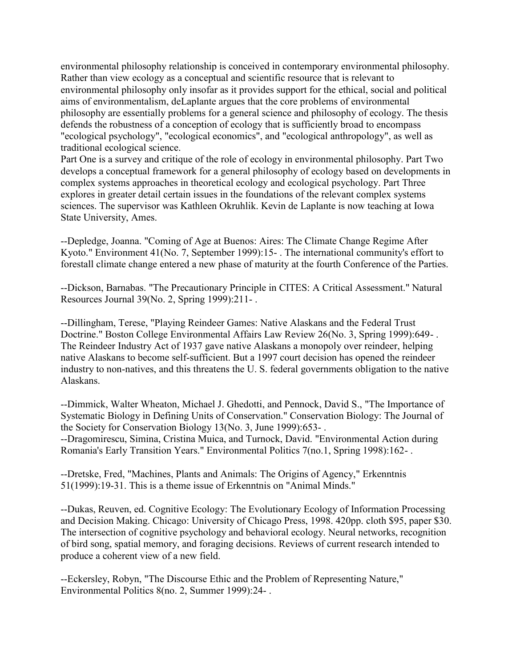environmental philosophy relationship is conceived in contemporary environmental philosophy. Rather than view ecology as a conceptual and scientific resource that is relevant to environmental philosophy only insofar as it provides support for the ethical, social and political aims of environmentalism, deLaplante argues that the core problems of environmental philosophy are essentially problems for a general science and philosophy of ecology. The thesis defends the robustness of a conception of ecology that is sufficiently broad to encompass "ecological psychology", "ecological economics", and "ecological anthropology", as well as traditional ecological science.

Part One is a survey and critique of the role of ecology in environmental philosophy. Part Two develops a conceptual framework for a general philosophy of ecology based on developments in complex systems approaches in theoretical ecology and ecological psychology. Part Three explores in greater detail certain issues in the foundations of the relevant complex systems sciences. The supervisor was Kathleen Okruhlik. Kevin de Laplante is now teaching at Iowa State University, Ames.

--Depledge, Joanna. "Coming of Age at Buenos: Aires: The Climate Change Regime After Kyoto." Environment 41(No. 7, September 1999):15- . The international community's effort to forestall climate change entered a new phase of maturity at the fourth Conference of the Parties.

--Dickson, Barnabas. "The Precautionary Principle in CITES: A Critical Assessment." Natural Resources Journal 39(No. 2, Spring 1999):211- .

--Dillingham, Terese, "Playing Reindeer Games: Native Alaskans and the Federal Trust Doctrine." Boston College Environmental Affairs Law Review 26(No. 3, Spring 1999):649- . The Reindeer Industry Act of 1937 gave native Alaskans a monopoly over reindeer, helping native Alaskans to become self-sufficient. But a 1997 court decision has opened the reindeer industry to non-natives, and this threatens the U. S. federal governments obligation to the native Alaskans.

--Dimmick, Walter Wheaton, Michael J. Ghedotti, and Pennock, David S., "The Importance of Systematic Biology in Defining Units of Conservation." Conservation Biology: The Journal of the Society for Conservation Biology 13(No. 3, June 1999):653- .

--Dragomirescu, Simina, Cristina Muica, and Turnock, David. "Environmental Action during Romania's Early Transition Years." Environmental Politics 7(no.1, Spring 1998):162- .

--Dretske, Fred, "Machines, Plants and Animals: The Origins of Agency," Erkenntnis 51(1999):19-31. This is a theme issue of Erkenntnis on "Animal Minds."

--Dukas, Reuven, ed. Cognitive Ecology: The Evolutionary Ecology of Information Processing and Decision Making. Chicago: University of Chicago Press, 1998. 420pp. cloth \$95, paper \$30. The intersection of cognitive psychology and behavioral ecology. Neural networks, recognition of bird song, spatial memory, and foraging decisions. Reviews of current research intended to produce a coherent view of a new field.

--Eckersley, Robyn, "The Discourse Ethic and the Problem of Representing Nature," Environmental Politics 8(no. 2, Summer 1999):24- .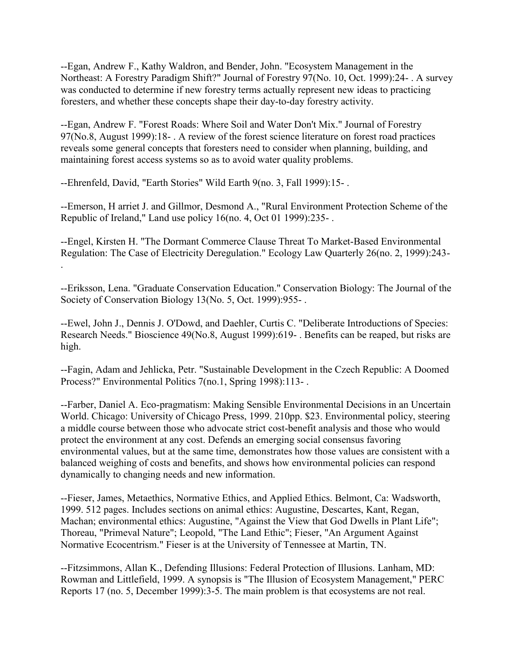--Egan, Andrew F., Kathy Waldron, and Bender, John. "Ecosystem Management in the Northeast: A Forestry Paradigm Shift?" Journal of Forestry 97(No. 10, Oct. 1999):24- . A survey was conducted to determine if new forestry terms actually represent new ideas to practicing foresters, and whether these concepts shape their day-to-day forestry activity.

--Egan, Andrew F. "Forest Roads: Where Soil and Water Don't Mix." Journal of Forestry 97(No.8, August 1999):18- . A review of the forest science literature on forest road practices reveals some general concepts that foresters need to consider when planning, building, and maintaining forest access systems so as to avoid water quality problems.

--Ehrenfeld, David, "Earth Stories" Wild Earth 9(no. 3, Fall 1999):15- .

--Emerson, H arriet J. and Gillmor, Desmond A., "Rural Environment Protection Scheme of the Republic of Ireland," Land use policy 16(no. 4, Oct 01 1999):235- .

--Engel, Kirsten H. "The Dormant Commerce Clause Threat To Market-Based Environmental Regulation: The Case of Electricity Deregulation." Ecology Law Quarterly 26(no. 2, 1999):243- .

--Eriksson, Lena. "Graduate Conservation Education." Conservation Biology: The Journal of the Society of Conservation Biology 13(No. 5, Oct. 1999):955- .

--Ewel, John J., Dennis J. O'Dowd, and Daehler, Curtis C. "Deliberate Introductions of Species: Research Needs." Bioscience 49(No.8, August 1999):619- . Benefits can be reaped, but risks are high.

--Fagin, Adam and Jehlicka, Petr. "Sustainable Development in the Czech Republic: A Doomed Process?" Environmental Politics 7(no.1, Spring 1998):113-.

--Farber, Daniel A. Eco-pragmatism: Making Sensible Environmental Decisions in an Uncertain World. Chicago: University of Chicago Press, 1999. 210pp. \$23. Environmental policy, steering a middle course between those who advocate strict cost-benefit analysis and those who would protect the environment at any cost. Defends an emerging social consensus favoring environmental values, but at the same time, demonstrates how those values are consistent with a balanced weighing of costs and benefits, and shows how environmental policies can respond dynamically to changing needs and new information.

--Fieser, James, Metaethics, Normative Ethics, and Applied Ethics. Belmont, Ca: Wadsworth, 1999. 512 pages. Includes sections on animal ethics: Augustine, Descartes, Kant, Regan, Machan; environmental ethics: Augustine, "Against the View that God Dwells in Plant Life"; Thoreau, "Primeval Nature"; Leopold, "The Land Ethic"; Fieser, "An Argument Against Normative Ecocentrism." Fieser is at the University of Tennessee at Martin, TN.

--Fitzsimmons, Allan K., Defending Illusions: Federal Protection of Illusions. Lanham, MD: Rowman and Littlefield, 1999. A synopsis is "The Illusion of Ecosystem Management," PERC Reports 17 (no. 5, December 1999):3-5. The main problem is that ecosystems are not real.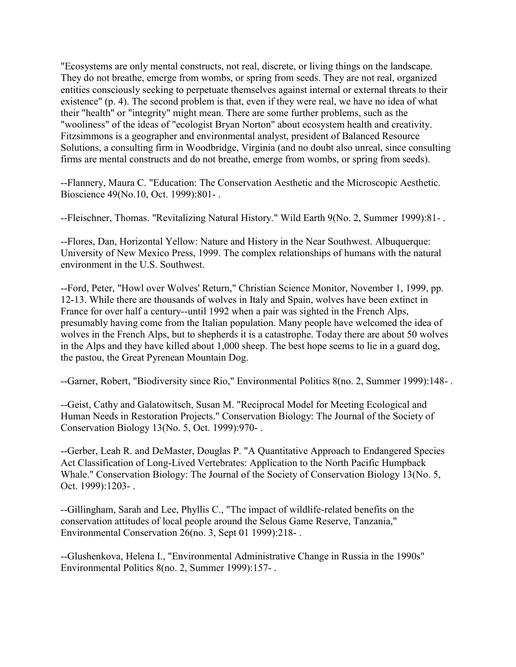"Ecosystems are only mental constructs, not real, discrete, or living things on the landscape. They do not breathe, emerge from wombs, or spring from seeds. They are not real, organized entities consciously seeking to perpetuate themselves against internal or external threats to their existence" (p. 4). The second problem is that, even if they were real, we have no idea of what their "health" or "integrity" might mean. There are some further problems, such as the "wooliness" of the ideas of "ecologist Bryan Norton" about ecosystem health and creativity. Fitzsimmons is a geographer and environmental analyst, president of Balanced Resource Solutions, a consulting firm in Woodbridge, Virginia (and no doubt also unreal, since consulting firms are mental constructs and do not breathe, emerge from wombs, or spring from seeds).

--Flannery, Maura C. "Education: The Conservation Aesthetic and the Microscopic Aesthetic. Bioscience 49(No.10, Oct. 1999):801- .

--Fleischner, Thomas. "Revitalizing Natural History." Wild Earth 9(No. 2, Summer 1999):81- .

--Flores, Dan, Horizontal Yellow: Nature and History in the Near Southwest. Albuquerque: University of New Mexico Press, 1999. The complex relationships of humans with the natural environment in the U.S. Southwest.

--Ford, Peter, "Howl over Wolves' Return," Christian Science Monitor, November 1, 1999, pp. 12-13. While there are thousands of wolves in Italy and Spain, wolves have been extinct in France for over half a century--until 1992 when a pair was sighted in the French Alps, presumably having come from the Italian population. Many people have welcomed the idea of wolves in the French Alps, but to shepherds it is a catastrophe. Today there are about 50 wolves in the Alps and they have killed about 1,000 sheep. The best hope seems to lie in a guard dog, the pastou, the Great Pyrenean Mountain Dog.

--Garner, Robert, "Biodiversity since Rio," Environmental Politics 8(no. 2, Summer 1999):148- .

--Geist, Cathy and Galatowitsch, Susan M. "Reciprocal Model for Meeting Ecological and Human Needs in Restoration Projects." Conservation Biology: The Journal of the Society of Conservation Biology 13(No. 5, Oct. 1999):970- .

--Gerber, Leah R. and DeMaster, Douglas P. "A Quantitative Approach to Endangered Species Act Classification of Long-Lived Vertebrates: Application to the North Pacific Humpback Whale." Conservation Biology: The Journal of the Society of Conservation Biology 13(No. 5, Oct. 1999):1203- .

--Gillingham, Sarah and Lee, Phyllis C., "The impact of wildlife-related benefits on the conservation attitudes of local people around the Selous Game Reserve, Tanzania," Environmental Conservation 26(no. 3, Sept 01 1999):218- .

--Glushenkova, Helena I., "Environmental Administrative Change in Russia in the 1990s" Environmental Politics 8(no. 2, Summer 1999):157- .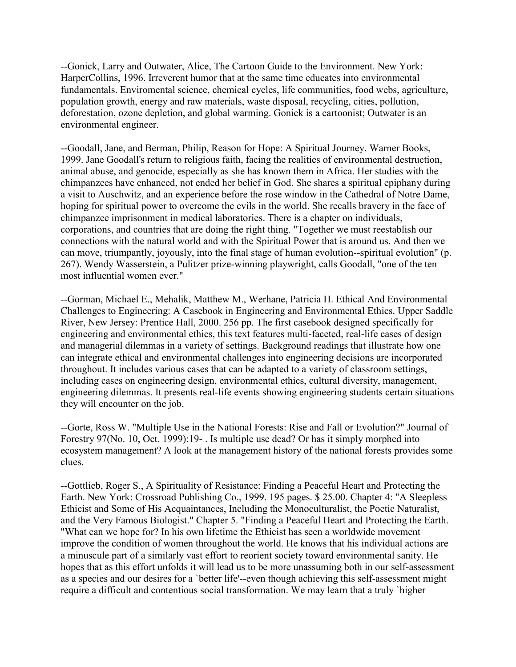--Gonick, Larry and Outwater, Alice, The Cartoon Guide to the Environment. New York: HarperCollins, 1996. Irreverent humor that at the same time educates into environmental fundamentals. Enviromental science, chemical cycles, life communities, food webs, agriculture, population growth, energy and raw materials, waste disposal, recycling, cities, pollution, deforestation, ozone depletion, and global warming. Gonick is a cartoonist; Outwater is an environmental engineer.

--Goodall, Jane, and Berman, Philip, Reason for Hope: A Spiritual Journey. Warner Books, 1999. Jane Goodall's return to religious faith, facing the realities of environmental destruction, animal abuse, and genocide, especially as she has known them in Africa. Her studies with the chimpanzees have enhanced, not ended her belief in God. She shares a spiritual epiphany during a visit to Auschwitz, and an experience before the rose window in the Cathedral of Notre Dame, hoping for spiritual power to overcome the evils in the world. She recalls bravery in the face of chimpanzee imprisonment in medical laboratories. There is a chapter on individuals, corporations, and countries that are doing the right thing. "Together we must reestablish our connections with the natural world and with the Spiritual Power that is around us. And then we can move, triumpantly, joyously, into the final stage of human evolution--spiritual evolution" (p. 267). Wendy Wasserstein, a Pulitzer prize-winning playwright, calls Goodall, "one of the ten most influential women ever."

--Gorman, Michael E., Mehalik, Matthew M., Werhane, Patricia H. Ethical And Environmental Challenges to Engineering: A Casebook in Engineering and Environmental Ethics. Upper Saddle River, New Jersey: Prentice Hall, 2000. 256 pp. The first casebook designed specifically for engineering and environmental ethics, this text features multi-faceted, real-life cases of design and managerial dilemmas in a variety of settings. Background readings that illustrate how one can integrate ethical and environmental challenges into engineering decisions are incorporated throughout. It includes various cases that can be adapted to a variety of classroom settings, including cases on engineering design, environmental ethics, cultural diversity, management, engineering dilemmas. It presents real-life events showing engineering students certain situations they will encounter on the job.

--Gorte, Ross W. "Multiple Use in the National Forests: Rise and Fall or Evolution?" Journal of Forestry 97(No. 10, Oct. 1999):19- . Is multiple use dead? Or has it simply morphed into ecosystem management? A look at the management history of the national forests provides some clues.

--Gottlieb, Roger S., A Spirituality of Resistance: Finding a Peaceful Heart and Protecting the Earth. New York: Crossroad Publishing Co., 1999. 195 pages. \$ 25.00. Chapter 4: "A Sleepless Ethicist and Some of His Acquaintances, Including the Monoculturalist, the Poetic Naturalist, and the Very Famous Biologist." Chapter 5. "Finding a Peaceful Heart and Protecting the Earth. "What can we hope for? In his own lifetime the Ethicist has seen a worldwide movement improve the condition of women throughout the world. He knows that his individual actions are a minuscule part of a similarly vast effort to reorient society toward environmental sanity. He hopes that as this effort unfolds it will lead us to be more unassuming both in our self-assessment as a species and our desires for a `better life'--even though achieving this self-assessment might require a difficult and contentious social transformation. We may learn that a truly `higher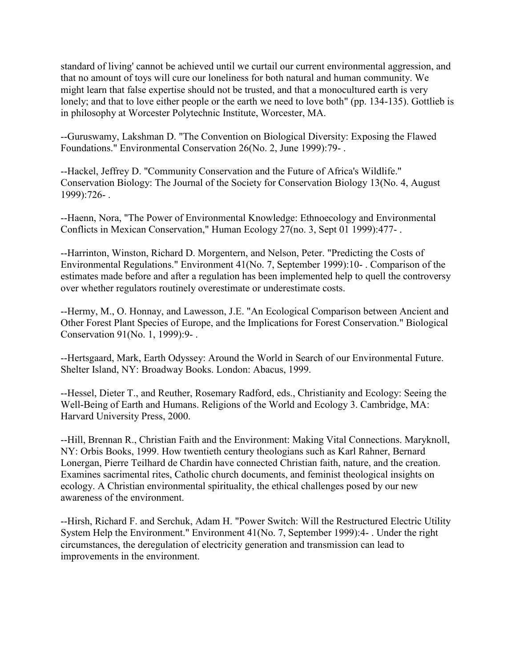standard of living' cannot be achieved until we curtail our current environmental aggression, and that no amount of toys will cure our loneliness for both natural and human community. We might learn that false expertise should not be trusted, and that a monocultured earth is very lonely; and that to love either people or the earth we need to love both" (pp. 134-135). Gottlieb is in philosophy at Worcester Polytechnic Institute, Worcester, MA.

--Guruswamy, Lakshman D. "The Convention on Biological Diversity: Exposing the Flawed Foundations." Environmental Conservation 26(No. 2, June 1999):79- .

--Hackel, Jeffrey D. "Community Conservation and the Future of Africa's Wildlife." Conservation Biology: The Journal of the Society for Conservation Biology 13(No. 4, August 1999):726- .

--Haenn, Nora, "The Power of Environmental Knowledge: Ethnoecology and Environmental Conflicts in Mexican Conservation," Human Ecology 27(no. 3, Sept 01 1999):477- .

--Harrinton, Winston, Richard D. Morgentern, and Nelson, Peter. "Predicting the Costs of Environmental Regulations." Environment 41(No. 7, September 1999):10- . Comparison of the estimates made before and after a regulation has been implemented help to quell the controversy over whether regulators routinely overestimate or underestimate costs.

--Hermy, M., O. Honnay, and Lawesson, J.E. "An Ecological Comparison between Ancient and Other Forest Plant Species of Europe, and the Implications for Forest Conservation." Biological Conservation 91(No. 1, 1999):9- .

--Hertsgaard, Mark, Earth Odyssey: Around the World in Search of our Environmental Future. Shelter Island, NY: Broadway Books. London: Abacus, 1999.

--Hessel, Dieter T., and Reuther, Rosemary Radford, eds., Christianity and Ecology: Seeing the Well-Being of Earth and Humans. Religions of the World and Ecology 3. Cambridge, MA: Harvard University Press, 2000.

--Hill, Brennan R., Christian Faith and the Environment: Making Vital Connections. Maryknoll, NY: Orbis Books, 1999. How twentieth century theologians such as Karl Rahner, Bernard Lonergan, Pierre Teilhard de Chardin have connected Christian faith, nature, and the creation. Examines sacrimental rites, Catholic church documents, and feminist theological insights on ecology. A Christian environmental spirituality, the ethical challenges posed by our new awareness of the environment.

--Hirsh, Richard F. and Serchuk, Adam H. "Power Switch: Will the Restructured Electric Utility System Help the Environment." Environment 41(No. 7, September 1999):4- . Under the right circumstances, the deregulation of electricity generation and transmission can lead to improvements in the environment.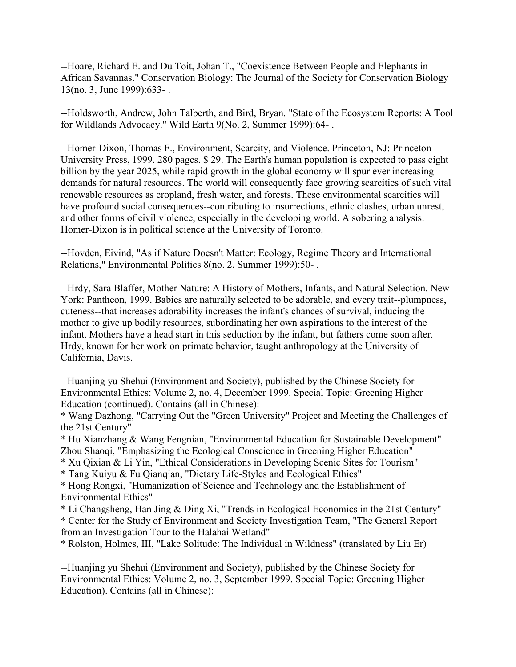--Hoare, Richard E. and Du Toit, Johan T., "Coexistence Between People and Elephants in African Savannas." Conservation Biology: The Journal of the Society for Conservation Biology 13(no. 3, June 1999):633- .

--Holdsworth, Andrew, John Talberth, and Bird, Bryan. "State of the Ecosystem Reports: A Tool for Wildlands Advocacy." Wild Earth 9(No. 2, Summer 1999):64- .

--Homer-Dixon, Thomas F., Environment, Scarcity, and Violence. Princeton, NJ: Princeton University Press, 1999. 280 pages. \$ 29. The Earth's human population is expected to pass eight billion by the year 2025, while rapid growth in the global economy will spur ever increasing demands for natural resources. The world will consequently face growing scarcities of such vital renewable resources as cropland, fresh water, and forests. These environmental scarcities will have profound social consequences--contributing to insurrections, ethnic clashes, urban unrest, and other forms of civil violence, especially in the developing world. A sobering analysis. Homer-Dixon is in political science at the University of Toronto.

--Hovden, Eivind, "As if Nature Doesn't Matter: Ecology, Regime Theory and International Relations," Environmental Politics 8(no. 2, Summer 1999):50- .

--Hrdy, Sara Blaffer, Mother Nature: A History of Mothers, Infants, and Natural Selection. New York: Pantheon, 1999. Babies are naturally selected to be adorable, and every trait--plumpness, cuteness--that increases adorability increases the infant's chances of survival, inducing the mother to give up bodily resources, subordinating her own aspirations to the interest of the infant. Mothers have a head start in this seduction by the infant, but fathers come soon after. Hrdy, known for her work on primate behavior, taught anthropology at the University of California, Davis.

--Huanjing yu Shehui (Environment and Society), published by the Chinese Society for Environmental Ethics: Volume 2, no. 4, December 1999. Special Topic: Greening Higher Education (continued). Contains (all in Chinese):

\* Wang Dazhong, "Carrying Out the "Green University" Project and Meeting the Challenges of the 21st Century"

\* Hu Xianzhang & Wang Fengnian, "Environmental Education for Sustainable Development" Zhou Shaoqi, "Emphasizing the Ecological Conscience in Greening Higher Education"

\* Xu Qixian & Li Yin, "Ethical Considerations in Developing Scenic Sites for Tourism"

\* Tang Kuiyu & Fu Qianqian, "Dietary Life-Styles and Ecological Ethics"

\* Hong Rongxi, "Humanization of Science and Technology and the Establishment of Environmental Ethics"

\* Li Changsheng, Han Jing & Ding Xi, "Trends in Ecological Economics in the 21st Century" \* Center for the Study of Environment and Society Investigation Team, "The General Report from an Investigation Tour to the Halahai Wetland"

\* Rolston, Holmes, III, "Lake Solitude: The Individual in Wildness" (translated by Liu Er)

--Huanjing yu Shehui (Environment and Society), published by the Chinese Society for Environmental Ethics: Volume 2, no. 3, September 1999. Special Topic: Greening Higher Education). Contains (all in Chinese):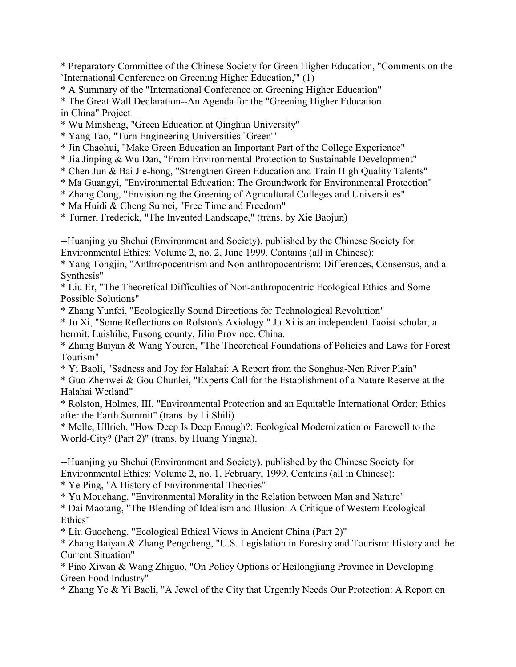\* Preparatory Committee of the Chinese Society for Green Higher Education, "Comments on the `International Conference on Greening Higher Education,'" (1)

\* A Summary of the "International Conference on Greening Higher Education"

\* The Great Wall Declaration--An Agenda for the "Greening Higher Education in China" Project

\* Wu Minsheng, "Green Education at Qinghua University"

\* Yang Tao, "Turn Engineering Universities `Green'"

\* Jin Chaohui, "Make Green Education an Important Part of the College Experience"

\* Jia Jinping & Wu Dan, "From Environmental Protection to Sustainable Development"

\* Chen Jun & Bai Jie-hong, "Strengthen Green Education and Train High Quality Talents"

\* Ma Guangyi, "Environmental Education: The Groundwork for Environmental Protection"

\* Zhang Cong, "Envisioning the Greening of Agricultural Colleges and Universities"

\* Ma Huidi & Cheng Sumei, "Free Time and Freedom"

\* Turner, Frederick, "The Invented Landscape," (trans. by Xie Baojun)

--Huanjing yu Shehui (Environment and Society), published by the Chinese Society for Environmental Ethics: Volume 2, no. 2, June 1999. Contains (all in Chinese):

\* Yang Tongjin, "Anthropocentrism and Non-anthropocentrism: Differences, Consensus, and a Synthesis"

\* Liu Er, "The Theoretical Difficulties of Non-anthropocentric Ecological Ethics and Some Possible Solutions"

\* Zhang Yunfei, "Ecologically Sound Directions for Technological Revolution"

\* Ju Xi, "Some Reflections on Rolston's Axiology." Ju Xi is an independent Taoist scholar, a hermit, Luishihe, Fusong county, Jilin Province, China.

\* Zhang Baiyan & Wang Youren, "The Theoretical Foundations of Policies and Laws for Forest Tourism"

\* Yi Baoli, "Sadness and Joy for Halahai: A Report from the Songhua-Nen River Plain"

\* Guo Zhenwei & Gou Chunlei, "Experts Call for the Establishment of a Nature Reserve at the Halahai Wetland"

\* Rolston, Holmes, III, "Environmental Protection and an Equitable International Order: Ethics after the Earth Summit" (trans. by Li Shili)

\* Melle, Ullrich, "How Deep Is Deep Enough?: Ecological Modernization or Farewell to the World-City? (Part 2)" (trans. by Huang Yingna).

--Huanjing yu Shehui (Environment and Society), published by the Chinese Society for Environmental Ethics: Volume 2, no. 1, February, 1999. Contains (all in Chinese): \* Ye Ping, "A History of Environmental Theories"

\* Yu Mouchang, "Environmental Morality in the Relation between Man and Nature"

\* Dai Maotang, "The Blending of Idealism and Illusion: A Critique of Western Ecological Ethics"

\* Liu Guocheng, "Ecological Ethical Views in Ancient China (Part 2)"

\* Zhang Baiyan & Zhang Pengcheng, "U.S. Legislation in Forestry and Tourism: History and the Current Situation"

\* Piao Xiwan & Wang Zhiguo, "On Policy Options of Heilongjiang Province in Developing Green Food Industry"

\* Zhang Ye & Yi Baoli, "A Jewel of the City that Urgently Needs Our Protection: A Report on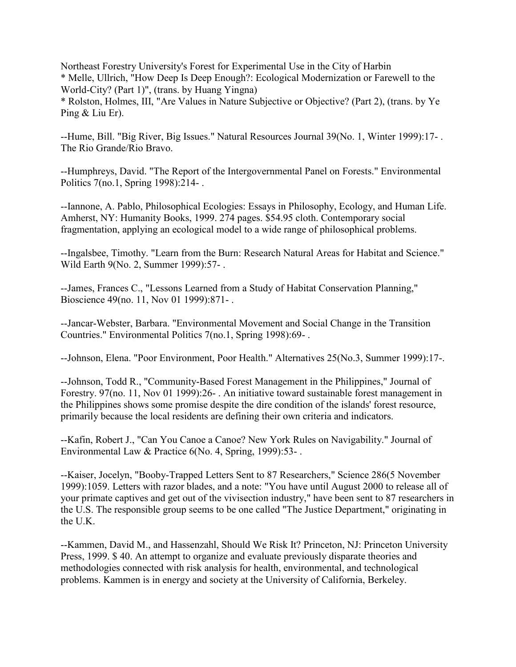Northeast Forestry University's Forest for Experimental Use in the City of Harbin \* Melle, Ullrich, "How Deep Is Deep Enough?: Ecological Modernization or Farewell to the World-City? (Part 1)", (trans. by Huang Yingna) \* Rolston, Holmes, III, "Are Values in Nature Subjective or Objective? (Part 2), (trans. by Ye Ping & Liu Er).

--Hume, Bill. "Big River, Big Issues." Natural Resources Journal 39(No. 1, Winter 1999):17- . The Rio Grande/Rio Bravo.

--Humphreys, David. "The Report of the Intergovernmental Panel on Forests." Environmental Politics 7(no.1, Spring 1998):214- .

--Iannone, A. Pablo, Philosophical Ecologies: Essays in Philosophy, Ecology, and Human Life. Amherst, NY: Humanity Books, 1999. 274 pages. \$54.95 cloth. Contemporary social fragmentation, applying an ecological model to a wide range of philosophical problems.

--Ingalsbee, Timothy. "Learn from the Burn: Research Natural Areas for Habitat and Science." Wild Earth 9(No. 2, Summer 1999):57- .

--James, Frances C., "Lessons Learned from a Study of Habitat Conservation Planning," Bioscience 49(no. 11, Nov 01 1999):871- .

--Jancar-Webster, Barbara. "Environmental Movement and Social Change in the Transition Countries." Environmental Politics 7(no.1, Spring 1998):69- .

--Johnson, Elena. "Poor Environment, Poor Health." Alternatives 25(No.3, Summer 1999):17-.

--Johnson, Todd R., "Community-Based Forest Management in the Philippines," Journal of Forestry. 97(no. 11, Nov 01 1999):26- . An initiative toward sustainable forest management in the Philippines shows some promise despite the dire condition of the islands' forest resource, primarily because the local residents are defining their own criteria and indicators.

--Kafin, Robert J., "Can You Canoe a Canoe? New York Rules on Navigability." Journal of Environmental Law & Practice 6(No. 4, Spring, 1999):53- .

--Kaiser, Jocelyn, "Booby-Trapped Letters Sent to 87 Researchers," Science 286(5 November 1999):1059. Letters with razor blades, and a note: "You have until August 2000 to release all of your primate captives and get out of the vivisection industry," have been sent to 87 researchers in the U.S. The responsible group seems to be one called "The Justice Department," originating in the U.K.

--Kammen, David M., and Hassenzahl, Should We Risk It? Princeton, NJ: Princeton University Press, 1999. \$ 40. An attempt to organize and evaluate previously disparate theories and methodologies connected with risk analysis for health, environmental, and technological problems. Kammen is in energy and society at the University of California, Berkeley.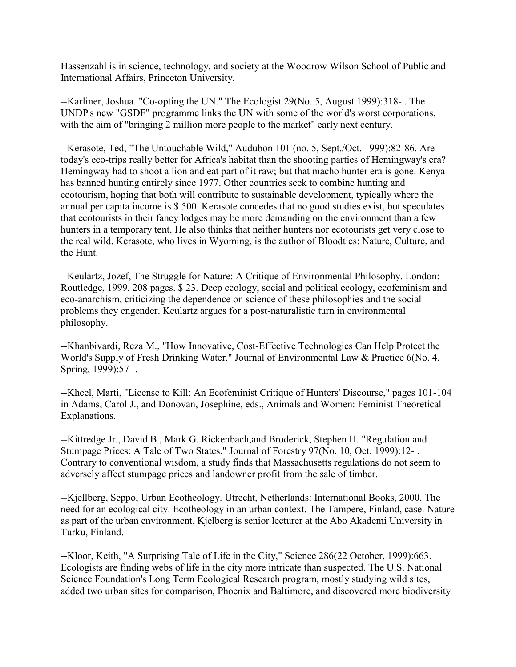Hassenzahl is in science, technology, and society at the Woodrow Wilson School of Public and International Affairs, Princeton University.

--Karliner, Joshua. "Co-opting the UN." The Ecologist 29(No. 5, August 1999):318- . The UNDP's new "GSDF" programme links the UN with some of the world's worst corporations, with the aim of "bringing 2 million more people to the market" early next century.

--Kerasote, Ted, "The Untouchable Wild," Audubon 101 (no. 5, Sept./Oct. 1999):82-86. Are today's eco-trips really better for Africa's habitat than the shooting parties of Hemingway's era? Hemingway had to shoot a lion and eat part of it raw; but that macho hunter era is gone. Kenya has banned hunting entirely since 1977. Other countries seek to combine hunting and ecotourism, hoping that both will contribute to sustainable development, typically where the annual per capita income is \$ 500. Kerasote concedes that no good studies exist, but speculates that ecotourists in their fancy lodges may be more demanding on the environment than a few hunters in a temporary tent. He also thinks that neither hunters nor ecotourists get very close to the real wild. Kerasote, who lives in Wyoming, is the author of Bloodties: Nature, Culture, and the Hunt.

--Keulartz, Jozef, The Struggle for Nature: A Critique of Environmental Philosophy. London: Routledge, 1999. 208 pages. \$ 23. Deep ecology, social and political ecology, ecofeminism and eco-anarchism, criticizing the dependence on science of these philosophies and the social problems they engender. Keulartz argues for a post-naturalistic turn in environmental philosophy.

--Khanbivardi, Reza M., "How Innovative, Cost-Effective Technologies Can Help Protect the World's Supply of Fresh Drinking Water." Journal of Environmental Law & Practice 6(No. 4, Spring, 1999):57- .

--Kheel, Marti, "License to Kill: An Ecofeminist Critique of Hunters' Discourse," pages 101-104 in Adams, Carol J., and Donovan, Josephine, eds., Animals and Women: Feminist Theoretical Explanations.

--Kittredge Jr., David B., Mark G. Rickenbach,and Broderick, Stephen H. "Regulation and Stumpage Prices: A Tale of Two States." Journal of Forestry 97(No. 10, Oct. 1999):12- . Contrary to conventional wisdom, a study finds that Massachusetts regulations do not seem to adversely affect stumpage prices and landowner profit from the sale of timber.

--Kjellberg, Seppo, Urban Ecotheology. Utrecht, Netherlands: International Books, 2000. The need for an ecological city. Ecotheology in an urban context. The Tampere, Finland, case. Nature as part of the urban environment. Kjelberg is senior lecturer at the Abo Akademi University in Turku, Finland.

--Kloor, Keith, "A Surprising Tale of Life in the City," Science 286(22 October, 1999):663. Ecologists are finding webs of life in the city more intricate than suspected. The U.S. National Science Foundation's Long Term Ecological Research program, mostly studying wild sites, added two urban sites for comparison, Phoenix and Baltimore, and discovered more biodiversity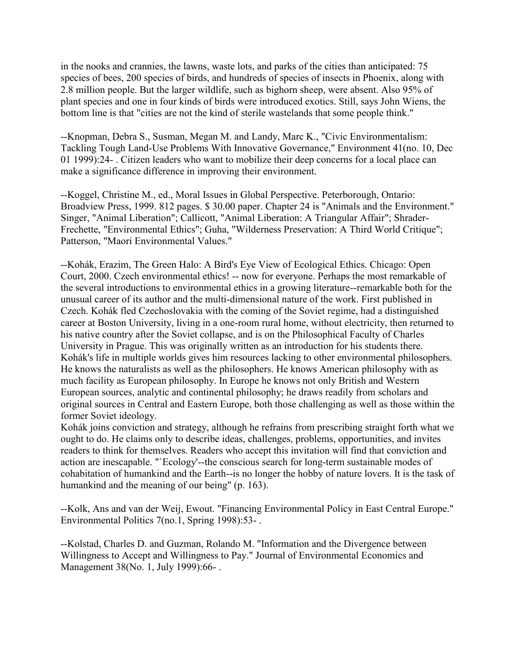in the nooks and crannies, the lawns, waste lots, and parks of the cities than anticipated: 75 species of bees, 200 species of birds, and hundreds of species of insects in Phoenix, along with 2.8 million people. But the larger wildlife, such as bighorn sheep, were absent. Also 95% of plant species and one in four kinds of birds were introduced exotics. Still, says John Wiens, the bottom line is that "cities are not the kind of sterile wastelands that some people think."

--Knopman, Debra S., Susman, Megan M. and Landy, Marc K., "Civic Environmentalism: Tackling Tough Land-Use Problems With Innovative Governance," Environment 41(no. 10, Dec 01 1999):24- . Citizen leaders who want to mobilize their deep concerns for a local place can make a significance difference in improving their environment.

--Koggel, Christine M., ed., Moral Issues in Global Perspective. Peterborough, Ontario: Broadview Press, 1999. 812 pages. \$ 30.00 paper. Chapter 24 is "Animals and the Environment." Singer, "Animal Liberation"; Callicott, "Animal Liberation: A Triangular Affair"; Shrader-Frechette, "Environmental Ethics"; Guha, "Wilderness Preservation: A Third World Critique"; Patterson, "Maori Environmental Values."

--Kohák, Erazim, The Green Halo: A Bird's Eye View of Ecological Ethics. Chicago: Open Court, 2000. Czech environmental ethics! -- now for everyone. Perhaps the most remarkable of the several introductions to environmental ethics in a growing literature--remarkable both for the unusual career of its author and the multi-dimensional nature of the work. First published in Czech. Kohák fled Czechoslovakia with the coming of the Soviet regime, had a distinguished career at Boston University, living in a one-room rural home, without electricity, then returned to his native country after the Soviet collapse, and is on the Philosophical Faculty of Charles University in Prague. This was originally written as an introduction for his students there. Kohák's life in multiple worlds gives him resources lacking to other environmental philosophers. He knows the naturalists as well as the philosophers. He knows American philosophy with as much facility as European philosophy. In Europe he knows not only British and Western European sources, analytic and continental philosophy; he draws readily from scholars and original sources in Central and Eastern Europe, both those challenging as well as those within the former Soviet ideology.

Kohák joins conviction and strategy, although he refrains from prescribing straight forth what we ought to do. He claims only to describe ideas, challenges, problems, opportunities, and invites readers to think for themselves. Readers who accept this invitation will find that conviction and action are inescapable. "`Ecology'--the conscious search for long-term sustainable modes of cohabitation of humankind and the Earth--is no longer the hobby of nature lovers. It is the task of humankind and the meaning of our being" (p. 163).

--Kolk, Ans and van der Weij, Ewout. "Financing Environmental Policy in East Central Europe." Environmental Politics 7(no.1, Spring 1998):53- .

--Kolstad, Charles D. and Guzman, Rolando M. "Information and the Divergence between Willingness to Accept and Willingness to Pay." Journal of Environmental Economics and Management 38(No. 1, July 1999):66- .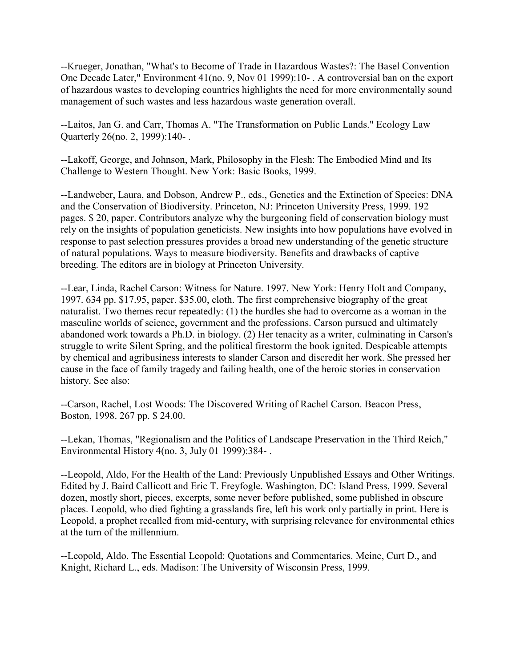--Krueger, Jonathan, "What's to Become of Trade in Hazardous Wastes?: The Basel Convention One Decade Later," Environment 41(no. 9, Nov 01 1999):10- . A controversial ban on the export of hazardous wastes to developing countries highlights the need for more environmentally sound management of such wastes and less hazardous waste generation overall.

--Laitos, Jan G. and Carr, Thomas A. "The Transformation on Public Lands." Ecology Law Quarterly 26(no. 2, 1999):140- .

--Lakoff, George, and Johnson, Mark, Philosophy in the Flesh: The Embodied Mind and Its Challenge to Western Thought. New York: Basic Books, 1999.

--Landweber, Laura, and Dobson, Andrew P., eds., Genetics and the Extinction of Species: DNA and the Conservation of Biodiversity. Princeton, NJ: Princeton University Press, 1999. 192 pages. \$ 20, paper. Contributors analyze why the burgeoning field of conservation biology must rely on the insights of population geneticists. New insights into how populations have evolved in response to past selection pressures provides a broad new understanding of the genetic structure of natural populations. Ways to measure biodiversity. Benefits and drawbacks of captive breeding. The editors are in biology at Princeton University.

--Lear, Linda, Rachel Carson: Witness for Nature. 1997. New York: Henry Holt and Company, 1997. 634 pp. \$17.95, paper. \$35.00, cloth. The first comprehensive biography of the great naturalist. Two themes recur repeatedly: (1) the hurdles she had to overcome as a woman in the masculine worlds of science, government and the professions. Carson pursued and ultimately abandoned work towards a Ph.D. in biology. (2) Her tenacity as a writer, culminating in Carson's struggle to write Silent Spring, and the political firestorm the book ignited. Despicable attempts by chemical and agribusiness interests to slander Carson and discredit her work. She pressed her cause in the face of family tragedy and failing health, one of the heroic stories in conservation history. See also:

--Carson, Rachel, Lost Woods: The Discovered Writing of Rachel Carson. Beacon Press, Boston, 1998. 267 pp. \$ 24.00.

--Lekan, Thomas, "Regionalism and the Politics of Landscape Preservation in the Third Reich," Environmental History 4(no. 3, July 01 1999):384- .

--Leopold, Aldo, For the Health of the Land: Previously Unpublished Essays and Other Writings. Edited by J. Baird Callicott and Eric T. Freyfogle. Washington, DC: Island Press, 1999. Several dozen, mostly short, pieces, excerpts, some never before published, some published in obscure places. Leopold, who died fighting a grasslands fire, left his work only partially in print. Here is Leopold, a prophet recalled from mid-century, with surprising relevance for environmental ethics at the turn of the millennium.

--Leopold, Aldo. The Essential Leopold: Quotations and Commentaries. Meine, Curt D., and Knight, Richard L., eds. Madison: The University of Wisconsin Press, 1999.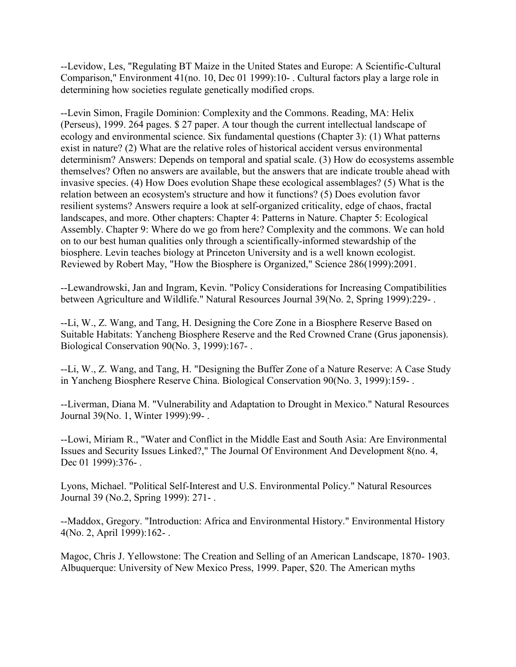--Levidow, Les, "Regulating BT Maize in the United States and Europe: A Scientific-Cultural Comparison," Environment 41(no. 10, Dec 01 1999):10- . Cultural factors play a large role in determining how societies regulate genetically modified crops.

--Levin Simon, Fragile Dominion: Complexity and the Commons. Reading, MA: Helix (Perseus), 1999. 264 pages. \$ 27 paper. A tour though the current intellectual landscape of ecology and environmental science. Six fundamental questions (Chapter 3): (1) What patterns exist in nature? (2) What are the relative roles of historical accident versus environmental determinism? Answers: Depends on temporal and spatial scale. (3) How do ecosystems assemble themselves? Often no answers are available, but the answers that are indicate trouble ahead with invasive species. (4) How Does evolution Shape these ecological assemblages? (5) What is the relation between an ecosystem's structure and how it functions? (5) Does evolution favor resilient systems? Answers require a look at self-organized criticality, edge of chaos, fractal landscapes, and more. Other chapters: Chapter 4: Patterns in Nature. Chapter 5: Ecological Assembly. Chapter 9: Where do we go from here? Complexity and the commons. We can hold on to our best human qualities only through a scientifically-informed stewardship of the biosphere. Levin teaches biology at Princeton University and is a well known ecologist. Reviewed by Robert May, "How the Biosphere is Organized," Science 286(1999):2091.

--Lewandrowski, Jan and Ingram, Kevin. "Policy Considerations for Increasing Compatibilities between Agriculture and Wildlife." Natural Resources Journal 39(No. 2, Spring 1999):229- .

--Li, W., Z. Wang, and Tang, H. Designing the Core Zone in a Biosphere Reserve Based on Suitable Habitats: Yancheng Biosphere Reserve and the Red Crowned Crane (Grus japonensis). Biological Conservation 90(No. 3, 1999):167- .

--Li, W., Z. Wang, and Tang, H. "Designing the Buffer Zone of a Nature Reserve: A Case Study in Yancheng Biosphere Reserve China. Biological Conservation 90(No. 3, 1999):159- .

--Liverman, Diana M. "Vulnerability and Adaptation to Drought in Mexico." Natural Resources Journal 39(No. 1, Winter 1999):99- .

--Lowi, Miriam R., "Water and Conflict in the Middle East and South Asia: Are Environmental Issues and Security Issues Linked?," The Journal Of Environment And Development 8(no. 4, Dec 01 1999):376-.

Lyons, Michael. "Political Self-Interest and U.S. Environmental Policy." Natural Resources Journal 39 (No.2, Spring 1999): 271- .

--Maddox, Gregory. "Introduction: Africa and Environmental History." Environmental History 4(No. 2, April 1999):162- .

Magoc, Chris J. Yellowstone: The Creation and Selling of an American Landscape, 1870- 1903. Albuquerque: University of New Mexico Press, 1999. Paper, \$20. The American myths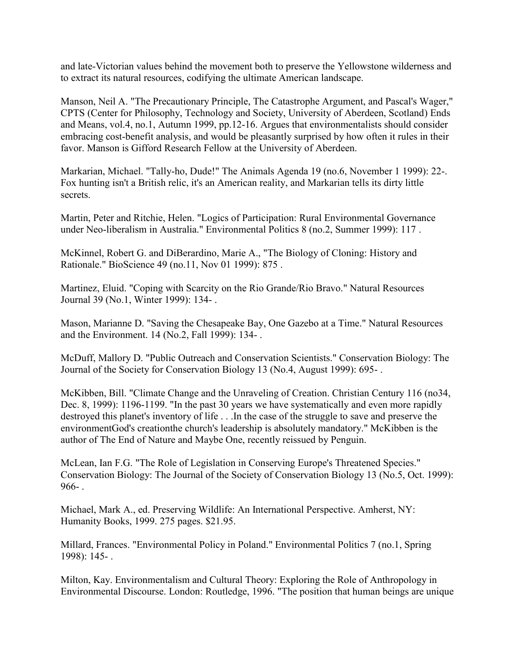and late-Victorian values behind the movement both to preserve the Yellowstone wilderness and to extract its natural resources, codifying the ultimate American landscape.

Manson, Neil A. "The Precautionary Principle, The Catastrophe Argument, and Pascal's Wager," CPTS (Center for Philosophy, Technology and Society, University of Aberdeen, Scotland) Ends and Means, vol.4, no.1, Autumn 1999, pp.12-16. Argues that environmentalists should consider embracing cost-benefit analysis, and would be pleasantly surprised by how often it rules in their favor. Manson is Gifford Research Fellow at the University of Aberdeen.

Markarian, Michael. "Tally-ho, Dude!" The Animals Agenda 19 (no.6, November 1 1999): 22-. Fox hunting isn't a British relic, it's an American reality, and Markarian tells its dirty little secrets.

Martin, Peter and Ritchie, Helen. "Logics of Participation: Rural Environmental Governance under Neo-liberalism in Australia." Environmental Politics 8 (no.2, Summer 1999): 117 .

McKinnel, Robert G. and DiBerardino, Marie A., "The Biology of Cloning: History and Rationale." BioScience 49 (no.11, Nov 01 1999): 875 .

Martinez, Eluid. "Coping with Scarcity on the Rio Grande/Rio Bravo." Natural Resources Journal 39 (No.1, Winter 1999): 134- .

Mason, Marianne D. "Saving the Chesapeake Bay, One Gazebo at a Time." Natural Resources and the Environment. 14 (No.2, Fall 1999): 134- .

McDuff, Mallory D. "Public Outreach and Conservation Scientists." Conservation Biology: The Journal of the Society for Conservation Biology 13 (No.4, August 1999): 695- .

McKibben, Bill. "Climate Change and the Unraveling of Creation. Christian Century 116 (no34, Dec. 8, 1999): 1196-1199. "In the past 30 years we have systematically and even more rapidly destroyed this planet's inventory of life . . .In the case of the struggle to save and preserve the environmentGod's creationthe church's leadership is absolutely mandatory." McKibben is the author of The End of Nature and Maybe One, recently reissued by Penguin.

McLean, Ian F.G. "The Role of Legislation in Conserving Europe's Threatened Species." Conservation Biology: The Journal of the Society of Conservation Biology 13 (No.5, Oct. 1999): 966- .

Michael, Mark A., ed. Preserving Wildlife: An International Perspective. Amherst, NY: Humanity Books, 1999. 275 pages. \$21.95.

Millard, Frances. "Environmental Policy in Poland." Environmental Politics 7 (no.1, Spring 1998): 145- .

Milton, Kay. Environmentalism and Cultural Theory: Exploring the Role of Anthropology in Environmental Discourse. London: Routledge, 1996. "The position that human beings are unique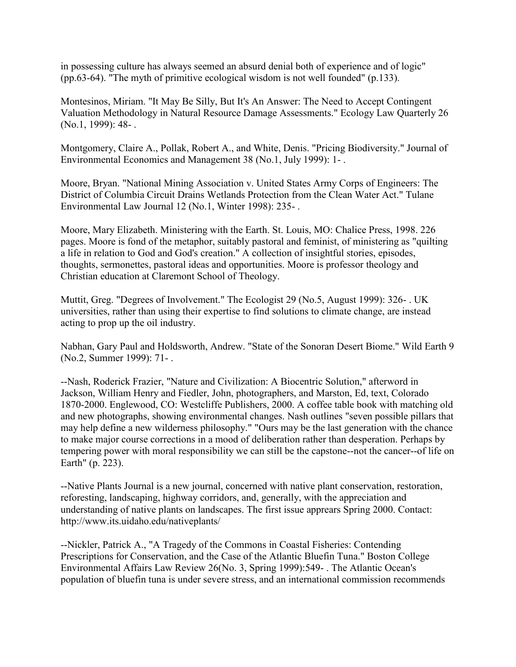in possessing culture has always seemed an absurd denial both of experience and of logic" (pp.63-64). "The myth of primitive ecological wisdom is not well founded" (p.133).

Montesinos, Miriam. "It May Be Silly, But It's An Answer: The Need to Accept Contingent Valuation Methodology in Natural Resource Damage Assessments." Ecology Law Quarterly 26 (No.1, 1999): 48- .

Montgomery, Claire A., Pollak, Robert A., and White, Denis. "Pricing Biodiversity." Journal of Environmental Economics and Management 38 (No.1, July 1999): 1- .

Moore, Bryan. "National Mining Association v. United States Army Corps of Engineers: The District of Columbia Circuit Drains Wetlands Protection from the Clean Water Act." Tulane Environmental Law Journal 12 (No.1, Winter 1998): 235- .

Moore, Mary Elizabeth. Ministering with the Earth. St. Louis, MO: Chalice Press, 1998. 226 pages. Moore is fond of the metaphor, suitably pastoral and feminist, of ministering as "quilting a life in relation to God and God's creation." A collection of insightful stories, episodes, thoughts, sermonettes, pastoral ideas and opportunities. Moore is professor theology and Christian education at Claremont School of Theology.

Muttit, Greg. "Degrees of Involvement." The Ecologist 29 (No.5, August 1999): 326- . UK universities, rather than using their expertise to find solutions to climate change, are instead acting to prop up the oil industry.

Nabhan, Gary Paul and Holdsworth, Andrew. "State of the Sonoran Desert Biome." Wild Earth 9 (No.2, Summer 1999): 71- .

--Nash, Roderick Frazier, "Nature and Civilization: A Biocentric Solution," afterword in Jackson, William Henry and Fiedler, John, photographers, and Marston, Ed, text, Colorado 1870-2000. Englewood, CO: Westcliffe Publishers, 2000. A coffee table book with matching old and new photographs, showing environmental changes. Nash outlines "seven possible pillars that may help define a new wilderness philosophy." "Ours may be the last generation with the chance to make major course corrections in a mood of deliberation rather than desperation. Perhaps by tempering power with moral responsibility we can still be the capstone--not the cancer--of life on Earth" (p. 223).

--Native Plants Journal is a new journal, concerned with native plant conservation, restoration, reforesting, landscaping, highway corridors, and, generally, with the appreciation and understanding of native plants on landscapes. The first issue apprears Spring 2000. Contact: http://www.its.uidaho.edu/nativeplants/

--Nickler, Patrick A., "A Tragedy of the Commons in Coastal Fisheries: Contending Prescriptions for Conservation, and the Case of the Atlantic Bluefin Tuna." Boston College Environmental Affairs Law Review 26(No. 3, Spring 1999):549- . The Atlantic Ocean's population of bluefin tuna is under severe stress, and an international commission recommends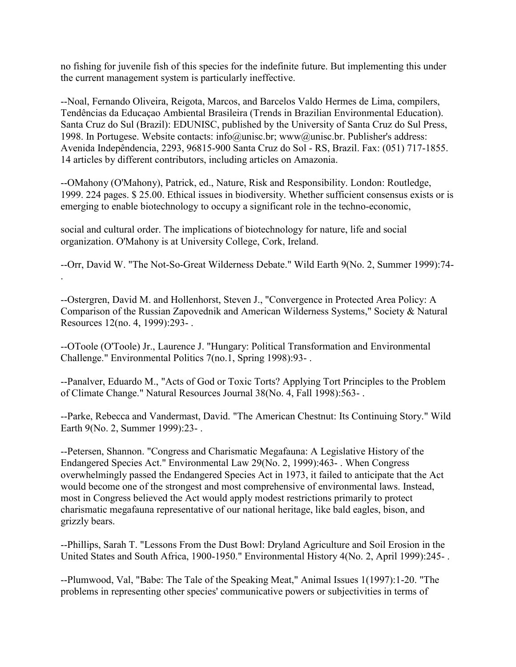no fishing for juvenile fish of this species for the indefinite future. But implementing this under the current management system is particularly ineffective.

--Noal, Fernando Oliveira, Reigota, Marcos, and Barcelos Valdo Hermes de Lima, compilers, Tendências da Educaçao Ambiental Brasileira (Trends in Brazilian Environmental Education). Santa Cruz do Sul (Brazil): EDUNISC, published by the University of Santa Cruz do Sul Press, 1998. In Portugese. Website contacts: info@unisc.br; www@unisc.br. Publisher's address: Avenida Indepêndencia, 2293, 96815-900 Santa Cruz do Sol - RS, Brazil. Fax: (051) 717-1855. 14 articles by different contributors, including articles on Amazonia.

--OMahony (O'Mahony), Patrick, ed., Nature, Risk and Responsibility. London: Routledge, 1999. 224 pages. \$ 25.00. Ethical issues in biodiversity. Whether sufficient consensus exists or is emerging to enable biotechnology to occupy a significant role in the techno-economic,

social and cultural order. The implications of biotechnology for nature, life and social organization. O'Mahony is at University College, Cork, Ireland.

.

--Orr, David W. "The Not-So-Great Wilderness Debate." Wild Earth 9(No. 2, Summer 1999):74-

--Ostergren, David M. and Hollenhorst, Steven J., "Convergence in Protected Area Policy: A Comparison of the Russian Zapovednik and American Wilderness Systems," Society & Natural Resources 12(no. 4, 1999):293- .

--OToole (O'Toole) Jr., Laurence J. "Hungary: Political Transformation and Environmental Challenge." Environmental Politics 7(no.1, Spring 1998):93- .

--Panalver, Eduardo M., "Acts of God or Toxic Torts? Applying Tort Principles to the Problem of Climate Change." Natural Resources Journal 38(No. 4, Fall 1998):563- .

--Parke, Rebecca and Vandermast, David. "The American Chestnut: Its Continuing Story." Wild Earth 9(No. 2, Summer 1999):23- .

--Petersen, Shannon. "Congress and Charismatic Megafauna: A Legislative History of the Endangered Species Act." Environmental Law 29(No. 2, 1999):463- . When Congress overwhelmingly passed the Endangered Species Act in 1973, it failed to anticipate that the Act would become one of the strongest and most comprehensive of environmental laws. Instead, most in Congress believed the Act would apply modest restrictions primarily to protect charismatic megafauna representative of our national heritage, like bald eagles, bison, and grizzly bears.

--Phillips, Sarah T. "Lessons From the Dust Bowl: Dryland Agriculture and Soil Erosion in the United States and South Africa, 1900-1950." Environmental History 4(No. 2, April 1999):245-.

--Plumwood, Val, "Babe: The Tale of the Speaking Meat," Animal Issues 1(1997):1-20. "The problems in representing other species' communicative powers or subjectivities in terms of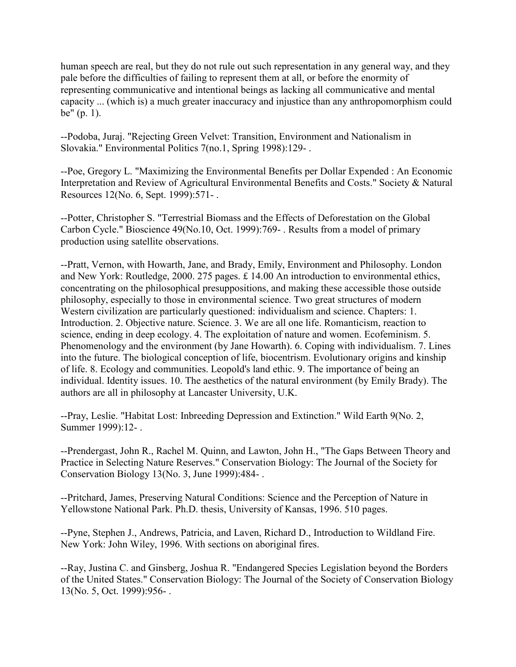human speech are real, but they do not rule out such representation in any general way, and they pale before the difficulties of failing to represent them at all, or before the enormity of representing communicative and intentional beings as lacking all communicative and mental capacity ... (which is) a much greater inaccuracy and injustice than any anthropomorphism could be" (p. 1).

--Podoba, Juraj. "Rejecting Green Velvet: Transition, Environment and Nationalism in Slovakia." Environmental Politics 7(no.1, Spring 1998):129- .

--Poe, Gregory L. "Maximizing the Environmental Benefits per Dollar Expended : An Economic Interpretation and Review of Agricultural Environmental Benefits and Costs." Society & Natural Resources 12(No. 6, Sept. 1999):571- .

--Potter, Christopher S. "Terrestrial Biomass and the Effects of Deforestation on the Global Carbon Cycle." Bioscience 49(No.10, Oct. 1999):769- . Results from a model of primary production using satellite observations.

--Pratt, Vernon, with Howarth, Jane, and Brady, Emily, Environment and Philosophy. London and New York: Routledge, 2000. 275 pages. £ 14.00 An introduction to environmental ethics, concentrating on the philosophical presuppositions, and making these accessible those outside philosophy, especially to those in environmental science. Two great structures of modern Western civilization are particularly questioned: individualism and science. Chapters: 1. Introduction. 2. Objective nature. Science. 3. We are all one life. Romanticism, reaction to science, ending in deep ecology. 4. The exploitation of nature and women. Ecofeminism. 5. Phenomenology and the environment (by Jane Howarth). 6. Coping with individualism. 7. Lines into the future. The biological conception of life, biocentrism. Evolutionary origins and kinship of life. 8. Ecology and communities. Leopold's land ethic. 9. The importance of being an individual. Identity issues. 10. The aesthetics of the natural environment (by Emily Brady). The authors are all in philosophy at Lancaster University, U.K.

--Pray, Leslie. "Habitat Lost: Inbreeding Depression and Extinction." Wild Earth 9(No. 2, Summer 1999):12- .

--Prendergast, John R., Rachel M. Quinn, and Lawton, John H., "The Gaps Between Theory and Practice in Selecting Nature Reserves." Conservation Biology: The Journal of the Society for Conservation Biology 13(No. 3, June 1999):484- .

--Pritchard, James, Preserving Natural Conditions: Science and the Perception of Nature in Yellowstone National Park. Ph.D. thesis, University of Kansas, 1996. 510 pages.

--Pyne, Stephen J., Andrews, Patricia, and Laven, Richard D., Introduction to Wildland Fire. New York: John Wiley, 1996. With sections on aboriginal fires.

--Ray, Justina C. and Ginsberg, Joshua R. "Endangered Species Legislation beyond the Borders of the United States." Conservation Biology: The Journal of the Society of Conservation Biology 13(No. 5, Oct. 1999):956- .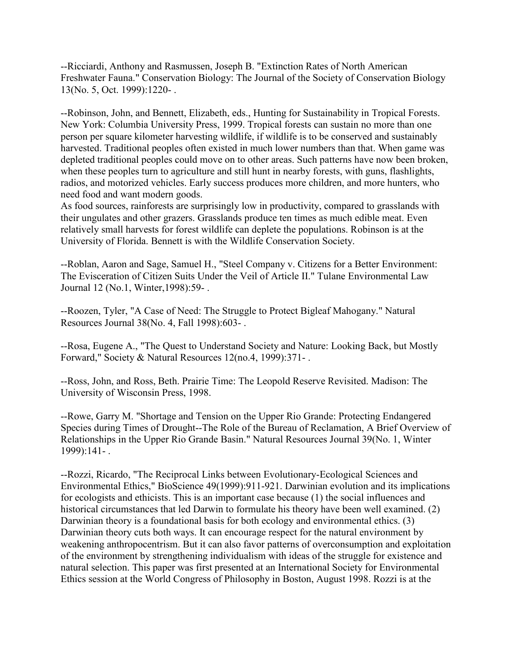--Ricciardi, Anthony and Rasmussen, Joseph B. "Extinction Rates of North American Freshwater Fauna." Conservation Biology: The Journal of the Society of Conservation Biology 13(No. 5, Oct. 1999):1220- .

--Robinson, John, and Bennett, Elizabeth, eds., Hunting for Sustainability in Tropical Forests. New York: Columbia University Press, 1999. Tropical forests can sustain no more than one person per square kilometer harvesting wildlife, if wildlife is to be conserved and sustainably harvested. Traditional peoples often existed in much lower numbers than that. When game was depleted traditional peoples could move on to other areas. Such patterns have now been broken, when these peoples turn to agriculture and still hunt in nearby forests, with guns, flashlights, radios, and motorized vehicles. Early success produces more children, and more hunters, who need food and want modern goods.

As food sources, rainforests are surprisingly low in productivity, compared to grasslands with their ungulates and other grazers. Grasslands produce ten times as much edible meat. Even relatively small harvests for forest wildlife can deplete the populations. Robinson is at the University of Florida. Bennett is with the Wildlife Conservation Society.

--Roblan, Aaron and Sage, Samuel H., "Steel Company v. Citizens for a Better Environment: The Evisceration of Citizen Suits Under the Veil of Article II." Tulane Environmental Law Journal 12 (No.1, Winter,1998):59- .

--Roozen, Tyler, "A Case of Need: The Struggle to Protect Bigleaf Mahogany." Natural Resources Journal 38(No. 4, Fall 1998):603- .

--Rosa, Eugene A., "The Quest to Understand Society and Nature: Looking Back, but Mostly Forward," Society & Natural Resources 12(no.4, 1999):371- .

--Ross, John, and Ross, Beth. Prairie Time: The Leopold Reserve Revisited. Madison: The University of Wisconsin Press, 1998.

--Rowe, Garry M. "Shortage and Tension on the Upper Rio Grande: Protecting Endangered Species during Times of Drought--The Role of the Bureau of Reclamation, A Brief Overview of Relationships in the Upper Rio Grande Basin." Natural Resources Journal 39(No. 1, Winter 1999):141- .

--Rozzi, Ricardo, "The Reciprocal Links between Evolutionary-Ecological Sciences and Environmental Ethics," BioScience 49(1999):911-921. Darwinian evolution and its implications for ecologists and ethicists. This is an important case because (1) the social influences and historical circumstances that led Darwin to formulate his theory have been well examined. (2) Darwinian theory is a foundational basis for both ecology and environmental ethics. (3) Darwinian theory cuts both ways. It can encourage respect for the natural environment by weakening anthropocentrism. But it can also favor patterns of overconsumption and exploitation of the environment by strengthening individualism with ideas of the struggle for existence and natural selection. This paper was first presented at an International Society for Environmental Ethics session at the World Congress of Philosophy in Boston, August 1998. Rozzi is at the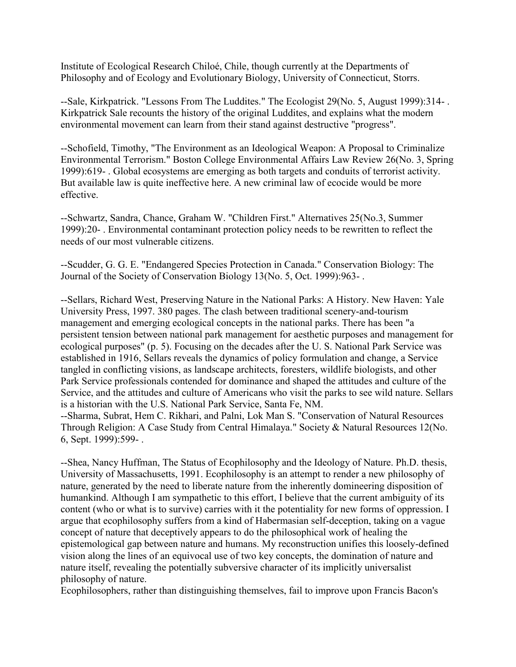Institute of Ecological Research Chiloé, Chile, though currently at the Departments of Philosophy and of Ecology and Evolutionary Biology, University of Connecticut, Storrs.

--Sale, Kirkpatrick. "Lessons From The Luddites." The Ecologist 29(No. 5, August 1999):314- . Kirkpatrick Sale recounts the history of the original Luddites, and explains what the modern environmental movement can learn from their stand against destructive "progress".

--Schofield, Timothy, "The Environment as an Ideological Weapon: A Proposal to Criminalize Environmental Terrorism." Boston College Environmental Affairs Law Review 26(No. 3, Spring 1999):619- . Global ecosystems are emerging as both targets and conduits of terrorist activity. But available law is quite ineffective here. A new criminal law of ecocide would be more effective.

--Schwartz, Sandra, Chance, Graham W. "Children First." Alternatives 25(No.3, Summer 1999):20- . Environmental contaminant protection policy needs to be rewritten to reflect the needs of our most vulnerable citizens.

--Scudder, G. G. E. "Endangered Species Protection in Canada." Conservation Biology: The Journal of the Society of Conservation Biology 13(No. 5, Oct. 1999):963- .

--Sellars, Richard West, Preserving Nature in the National Parks: A History. New Haven: Yale University Press, 1997. 380 pages. The clash between traditional scenery-and-tourism management and emerging ecological concepts in the national parks. There has been "a persistent tension between national park management for aesthetic purposes and management for ecological purposes" (p. 5). Focusing on the decades after the U. S. National Park Service was established in 1916, Sellars reveals the dynamics of policy formulation and change, a Service tangled in conflicting visions, as landscape architects, foresters, wildlife biologists, and other Park Service professionals contended for dominance and shaped the attitudes and culture of the Service, and the attitudes and culture of Americans who visit the parks to see wild nature. Sellars is a historian with the U.S. National Park Service, Santa Fe, NM.

--Sharma, Subrat, Hem C. Rikhari, and Palni, Lok Man S. "Conservation of Natural Resources Through Religion: A Case Study from Central Himalaya." Society & Natural Resources 12(No. 6, Sept. 1999):599- .

--Shea, Nancy Huffman, The Status of Ecophilosophy and the Ideology of Nature. Ph.D. thesis, University of Massachusetts, 1991. Ecophilosophy is an attempt to render a new philosophy of nature, generated by the need to liberate nature from the inherently domineering disposition of humankind. Although I am sympathetic to this effort, I believe that the current ambiguity of its content (who or what is to survive) carries with it the potentiality for new forms of oppression. I argue that ecophilosophy suffers from a kind of Habermasian self-deception, taking on a vague concept of nature that deceptively appears to do the philosophical work of healing the epistemological gap between nature and humans. My reconstruction unifies this loosely-defined vision along the lines of an equivocal use of two key concepts, the domination of nature and nature itself, revealing the potentially subversive character of its implicitly universalist philosophy of nature.

Ecophilosophers, rather than distinguishing themselves, fail to improve upon Francis Bacon's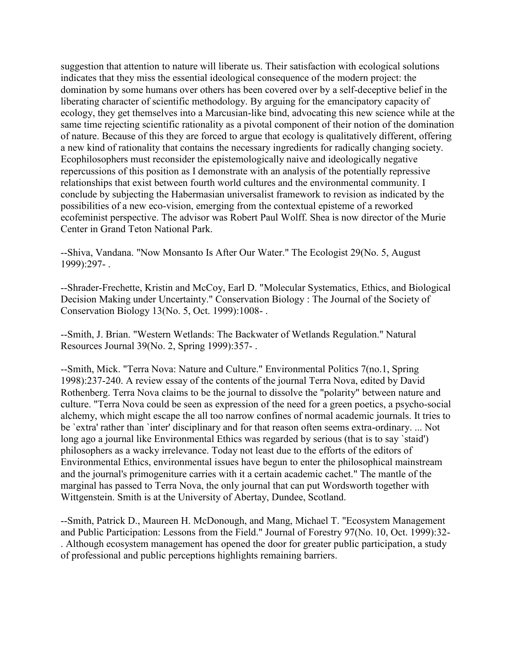suggestion that attention to nature will liberate us. Their satisfaction with ecological solutions indicates that they miss the essential ideological consequence of the modern project: the domination by some humans over others has been covered over by a self-deceptive belief in the liberating character of scientific methodology. By arguing for the emancipatory capacity of ecology, they get themselves into a Marcusian-like bind, advocating this new science while at the same time rejecting scientific rationality as a pivotal component of their notion of the domination of nature. Because of this they are forced to argue that ecology is qualitatively different, offering a new kind of rationality that contains the necessary ingredients for radically changing society. Ecophilosophers must reconsider the epistemologically naive and ideologically negative repercussions of this position as I demonstrate with an analysis of the potentially repressive relationships that exist between fourth world cultures and the environmental community. I conclude by subjecting the Habermasian universalist framework to revision as indicated by the possibilities of a new eco-vision, emerging from the contextual episteme of a reworked ecofeminist perspective. The advisor was Robert Paul Wolff. Shea is now director of the Murie Center in Grand Teton National Park.

--Shiva, Vandana. "Now Monsanto Is After Our Water." The Ecologist 29(No. 5, August 1999):297- .

--Shrader-Frechette, Kristin and McCoy, Earl D. "Molecular Systematics, Ethics, and Biological Decision Making under Uncertainty." Conservation Biology : The Journal of the Society of Conservation Biology 13(No. 5, Oct. 1999):1008- .

--Smith, J. Brian. "Western Wetlands: The Backwater of Wetlands Regulation." Natural Resources Journal 39(No. 2, Spring 1999):357- .

--Smith, Mick. "Terra Nova: Nature and Culture." Environmental Politics 7(no.1, Spring 1998):237-240. A review essay of the contents of the journal Terra Nova, edited by David Rothenberg. Terra Nova claims to be the journal to dissolve the "polarity" between nature and culture. "Terra Nova could be seen as expression of the need for a green poetics, a psycho-social alchemy, which might escape the all too narrow confines of normal academic journals. It tries to be `extra' rather than `inter' disciplinary and for that reason often seems extra-ordinary. ... Not long ago a journal like Environmental Ethics was regarded by serious (that is to say `staid') philosophers as a wacky irrelevance. Today not least due to the efforts of the editors of Environmental Ethics, environmental issues have begun to enter the philosophical mainstream and the journal's primogeniture carries with it a certain academic cachet." The mantle of the marginal has passed to Terra Nova, the only journal that can put Wordsworth together with Wittgenstein. Smith is at the University of Abertay, Dundee, Scotland.

--Smith, Patrick D., Maureen H. McDonough, and Mang, Michael T. "Ecosystem Management and Public Participation: Lessons from the Field." Journal of Forestry 97(No. 10, Oct. 1999):32- . Although ecosystem management has opened the door for greater public participation, a study of professional and public perceptions highlights remaining barriers.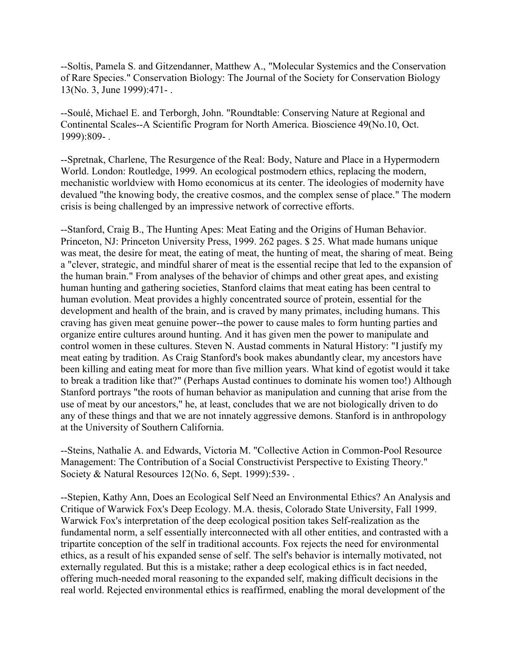--Soltis, Pamela S. and Gitzendanner, Matthew A., "Molecular Systemics and the Conservation of Rare Species." Conservation Biology: The Journal of the Society for Conservation Biology 13(No. 3, June 1999):471- .

--Soulé, Michael E. and Terborgh, John. "Roundtable: Conserving Nature at Regional and Continental Scales--A Scientific Program for North America. Bioscience 49(No.10, Oct. 1999):809- .

--Spretnak, Charlene, The Resurgence of the Real: Body, Nature and Place in a Hypermodern World. London: Routledge, 1999. An ecological postmodern ethics, replacing the modern, mechanistic worldview with Homo economicus at its center. The ideologies of modernity have devalued "the knowing body, the creative cosmos, and the complex sense of place." The modern crisis is being challenged by an impressive network of corrective efforts.

--Stanford, Craig B., The Hunting Apes: Meat Eating and the Origins of Human Behavior. Princeton, NJ: Princeton University Press, 1999. 262 pages. \$ 25. What made humans unique was meat, the desire for meat, the eating of meat, the hunting of meat, the sharing of meat. Being a "clever, strategic, and mindful sharer of meat is the essential recipe that led to the expansion of the human brain." From analyses of the behavior of chimps and other great apes, and existing human hunting and gathering societies, Stanford claims that meat eating has been central to human evolution. Meat provides a highly concentrated source of protein, essential for the development and health of the brain, and is craved by many primates, including humans. This craving has given meat genuine power--the power to cause males to form hunting parties and organize entire cultures around hunting. And it has given men the power to manipulate and control women in these cultures. Steven N. Austad comments in Natural History: "I justify my meat eating by tradition. As Craig Stanford's book makes abundantly clear, my ancestors have been killing and eating meat for more than five million years. What kind of egotist would it take to break a tradition like that?" (Perhaps Austad continues to dominate his women too!) Although Stanford portrays "the roots of human behavior as manipulation and cunning that arise from the use of meat by our ancestors," he, at least, concludes that we are not biologically driven to do any of these things and that we are not innately aggressive demons. Stanford is in anthropology at the University of Southern California.

--Steins, Nathalie A. and Edwards, Victoria M. "Collective Action in Common-Pool Resource Management: The Contribution of a Social Constructivist Perspective to Existing Theory." Society & Natural Resources 12(No. 6, Sept. 1999):539- .

--Stepien, Kathy Ann, Does an Ecological Self Need an Environmental Ethics? An Analysis and Critique of Warwick Fox's Deep Ecology. M.A. thesis, Colorado State University, Fall 1999. Warwick Fox's interpretation of the deep ecological position takes Self-realization as the fundamental norm, a self essentially interconnected with all other entities, and contrasted with a tripartite conception of the self in traditional accounts. Fox rejects the need for environmental ethics, as a result of his expanded sense of self. The self's behavior is internally motivated, not externally regulated. But this is a mistake; rather a deep ecological ethics is in fact needed, offering much-needed moral reasoning to the expanded self, making difficult decisions in the real world. Rejected environmental ethics is reaffirmed, enabling the moral development of the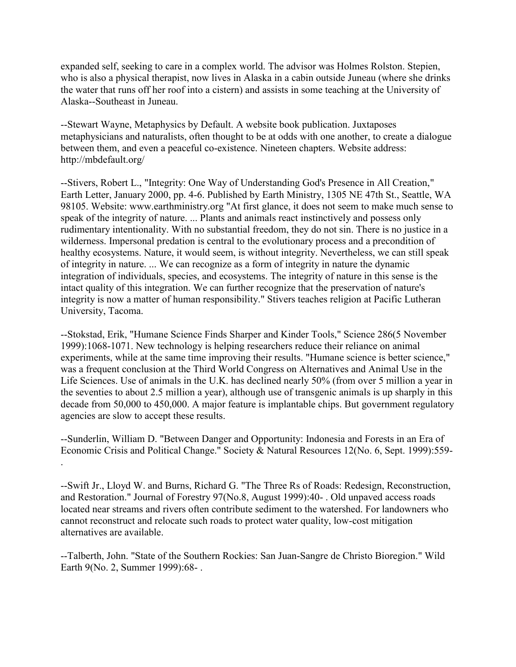expanded self, seeking to care in a complex world. The advisor was Holmes Rolston. Stepien, who is also a physical therapist, now lives in Alaska in a cabin outside Juneau (where she drinks the water that runs off her roof into a cistern) and assists in some teaching at the University of Alaska--Southeast in Juneau.

--Stewart Wayne, Metaphysics by Default. A website book publication. Juxtaposes metaphysicians and naturalists, often thought to be at odds with one another, to create a dialogue between them, and even a peaceful co-existence. Nineteen chapters. Website address: http://mbdefault.org/

--Stivers, Robert L., "Integrity: One Way of Understanding God's Presence in All Creation," Earth Letter, January 2000, pp. 4-6. Published by Earth Ministry, 1305 NE 47th St., Seattle, WA 98105. Website: www.earthministry.org "At first glance, it does not seem to make much sense to speak of the integrity of nature. ... Plants and animals react instinctively and possess only rudimentary intentionality. With no substantial freedom, they do not sin. There is no justice in a wilderness. Impersonal predation is central to the evolutionary process and a precondition of healthy ecosystems. Nature, it would seem, is without integrity. Nevertheless, we can still speak of integrity in nature. ... We can recognize as a form of integrity in nature the dynamic integration of individuals, species, and ecosystems. The integrity of nature in this sense is the intact quality of this integration. We can further recognize that the preservation of nature's integrity is now a matter of human responsibility." Stivers teaches religion at Pacific Lutheran University, Tacoma.

--Stokstad, Erik, "Humane Science Finds Sharper and Kinder Tools," Science 286(5 November 1999):1068-1071. New technology is helping researchers reduce their reliance on animal experiments, while at the same time improving their results. "Humane science is better science," was a frequent conclusion at the Third World Congress on Alternatives and Animal Use in the Life Sciences. Use of animals in the U.K. has declined nearly 50% (from over 5 million a year in the seventies to about 2.5 million a year), although use of transgenic animals is up sharply in this decade from 50,000 to 450,000. A major feature is implantable chips. But government regulatory agencies are slow to accept these results.

--Sunderlin, William D. "Between Danger and Opportunity: Indonesia and Forests in an Era of Economic Crisis and Political Change." Society & Natural Resources 12(No. 6, Sept. 1999):559- .

--Swift Jr., Lloyd W. and Burns, Richard G. "The Three Rs of Roads: Redesign, Reconstruction, and Restoration." Journal of Forestry 97(No.8, August 1999):40- . Old unpaved access roads located near streams and rivers often contribute sediment to the watershed. For landowners who cannot reconstruct and relocate such roads to protect water quality, low-cost mitigation alternatives are available.

--Talberth, John. "State of the Southern Rockies: San Juan-Sangre de Christo Bioregion." Wild Earth 9(No. 2, Summer 1999):68- .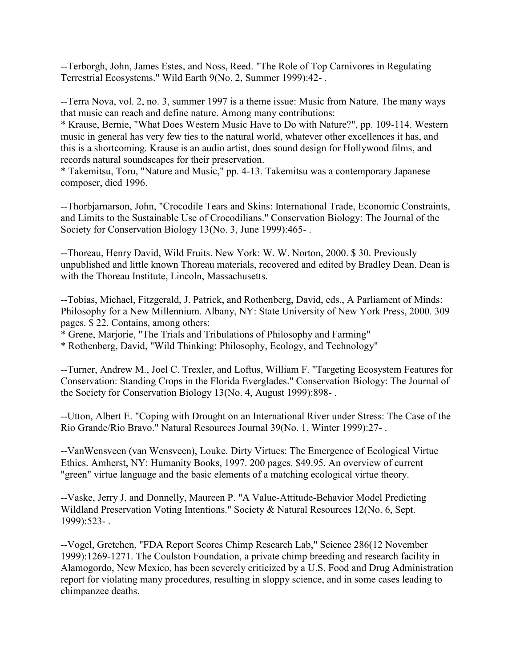--Terborgh, John, James Estes, and Noss, Reed. "The Role of Top Carnivores in Regulating Terrestrial Ecosystems." Wild Earth 9(No. 2, Summer 1999):42- .

--Terra Nova, vol. 2, no. 3, summer 1997 is a theme issue: Music from Nature. The many ways that music can reach and define nature. Among many contributions:

\* Krause, Bernie, "What Does Western Music Have to Do with Nature?", pp. 109-114. Western music in general has very few ties to the natural world, whatever other excellences it has, and this is a shortcoming. Krause is an audio artist, does sound design for Hollywood films, and records natural soundscapes for their preservation.

\* Takemitsu, Toru, "Nature and Music," pp. 4-13. Takemitsu was a contemporary Japanese composer, died 1996.

--Thorbjarnarson, John, "Crocodile Tears and Skins: International Trade, Economic Constraints, and Limits to the Sustainable Use of Crocodilians." Conservation Biology: The Journal of the Society for Conservation Biology 13(No. 3, June 1999):465- .

--Thoreau, Henry David, Wild Fruits. New York: W. W. Norton, 2000. \$ 30. Previously unpublished and little known Thoreau materials, recovered and edited by Bradley Dean. Dean is with the Thoreau Institute, Lincoln, Massachusetts.

--Tobias, Michael, Fitzgerald, J. Patrick, and Rothenberg, David, eds., A Parliament of Minds: Philosophy for a New Millennium. Albany, NY: State University of New York Press, 2000. 309 pages. \$ 22. Contains, among others:

\* Grene, Marjorie, "The Trials and Tribulations of Philosophy and Farming"

\* Rothenberg, David, "Wild Thinking: Philosophy, Ecology, and Technology"

--Turner, Andrew M., Joel C. Trexler, and Loftus, William F. "Targeting Ecosystem Features for Conservation: Standing Crops in the Florida Everglades." Conservation Biology: The Journal of the Society for Conservation Biology 13(No. 4, August 1999):898- .

--Utton, Albert E. "Coping with Drought on an International River under Stress: The Case of the Rio Grande/Rio Bravo." Natural Resources Journal 39(No. 1, Winter 1999):27- .

--VanWensveen (van Wensveen), Louke. Dirty Virtues: The Emergence of Ecological Virtue Ethics. Amherst, NY: Humanity Books, 1997. 200 pages. \$49.95. An overview of current "green" virtue language and the basic elements of a matching ecological virtue theory.

--Vaske, Jerry J. and Donnelly, Maureen P. "A Value-Attitude-Behavior Model Predicting Wildland Preservation Voting Intentions." Society & Natural Resources 12(No. 6, Sept. 1999):523- .

--Vogel, Gretchen, "FDA Report Scores Chimp Research Lab," Science 286(12 November 1999):1269-1271. The Coulston Foundation, a private chimp breeding and research facility in Alamogordo, New Mexico, has been severely criticized by a U.S. Food and Drug Administration report for violating many procedures, resulting in sloppy science, and in some cases leading to chimpanzee deaths.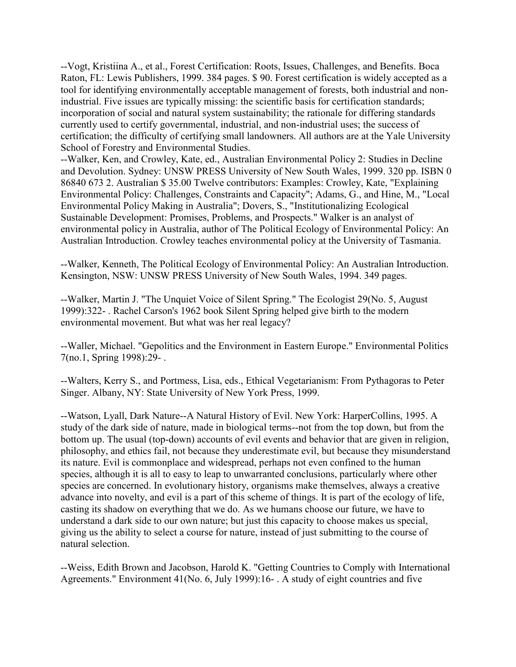--Vogt, Kristiina A., et al., Forest Certification: Roots, Issues, Challenges, and Benefits. Boca Raton, FL: Lewis Publishers, 1999. 384 pages. \$ 90. Forest certification is widely accepted as a tool for identifying environmentally acceptable management of forests, both industrial and nonindustrial. Five issues are typically missing: the scientific basis for certification standards; incorporation of social and natural system sustainability; the rationale for differing standards currently used to certify governmental, industrial, and non-industrial uses; the success of certification; the difficulty of certifying small landowners. All authors are at the Yale University School of Forestry and Environmental Studies.

--Walker, Ken, and Crowley, Kate, ed., Australian Environmental Policy 2: Studies in Decline and Devolution. Sydney: UNSW PRESS University of New South Wales, 1999. 320 pp. ISBN 0 86840 673 2. Australian \$ 35.00 Twelve contributors: Examples: Crowley, Kate, "Explaining Environmental Policy: Challenges, Constraints and Capacity"; Adams, G., and Hine, M., "Local Environmental Policy Making in Australia"; Dovers, S., "Institutionalizing Ecological Sustainable Development: Promises, Problems, and Prospects." Walker is an analyst of environmental policy in Australia, author of The Political Ecology of Environmental Policy: An Australian Introduction. Crowley teaches environmental policy at the University of Tasmania.

--Walker, Kenneth, The Political Ecology of Environmental Policy: An Australian Introduction. Kensington, NSW: UNSW PRESS University of New South Wales, 1994. 349 pages.

--Walker, Martin J. "The Unquiet Voice of Silent Spring." The Ecologist 29(No. 5, August 1999):322- . Rachel Carson's 1962 book Silent Spring helped give birth to the modern environmental movement. But what was her real legacy?

--Waller, Michael. "Gepolitics and the Environment in Eastern Europe." Environmental Politics 7(no.1, Spring 1998):29- .

--Walters, Kerry S., and Portmess, Lisa, eds., Ethical Vegetarianism: From Pythagoras to Peter Singer. Albany, NY: State University of New York Press, 1999.

--Watson, Lyall, Dark Nature--A Natural History of Evil. New York: HarperCollins, 1995. A study of the dark side of nature, made in biological terms--not from the top down, but from the bottom up. The usual (top-down) accounts of evil events and behavior that are given in religion, philosophy, and ethics fail, not because they underestimate evil, but because they misunderstand its nature. Evil is commonplace and widespread, perhaps not even confined to the human species, although it is all to easy to leap to unwarranted conclusions, particularly where other species are concerned. In evolutionary history, organisms make themselves, always a creative advance into novelty, and evil is a part of this scheme of things. It is part of the ecology of life, casting its shadow on everything that we do. As we humans choose our future, we have to understand a dark side to our own nature; but just this capacity to choose makes us special, giving us the ability to select a course for nature, instead of just submitting to the course of natural selection.

--Weiss, Edith Brown and Jacobson, Harold K. "Getting Countries to Comply with International Agreements." Environment 41(No. 6, July 1999):16- . A study of eight countries and five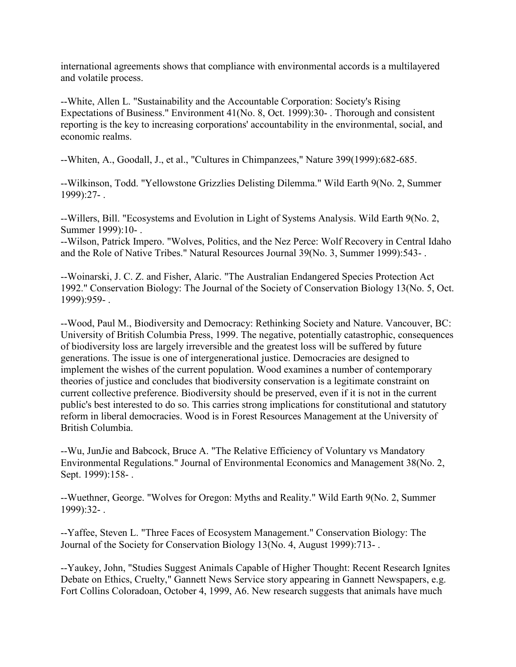international agreements shows that compliance with environmental accords is a multilayered and volatile process.

--White, Allen L. "Sustainability and the Accountable Corporation: Society's Rising Expectations of Business." Environment 41(No. 8, Oct. 1999):30- . Thorough and consistent reporting is the key to increasing corporations' accountability in the environmental, social, and economic realms.

--Whiten, A., Goodall, J., et al., "Cultures in Chimpanzees," Nature 399(1999):682-685.

--Wilkinson, Todd. "Yellowstone Grizzlies Delisting Dilemma." Wild Earth 9(No. 2, Summer 1999):27- .

--Willers, Bill. "Ecosystems and Evolution in Light of Systems Analysis. Wild Earth 9(No. 2, Summer 1999):10- .

--Wilson, Patrick Impero. "Wolves, Politics, and the Nez Perce: Wolf Recovery in Central Idaho and the Role of Native Tribes." Natural Resources Journal 39(No. 3, Summer 1999):543- .

--Woinarski, J. C. Z. and Fisher, Alaric. "The Australian Endangered Species Protection Act 1992." Conservation Biology: The Journal of the Society of Conservation Biology 13(No. 5, Oct. 1999):959- .

--Wood, Paul M., Biodiversity and Democracy: Rethinking Society and Nature. Vancouver, BC: University of British Columbia Press, 1999. The negative, potentially catastrophic, consequences of biodiversity loss are largely irreversible and the greatest loss will be suffered by future generations. The issue is one of intergenerational justice. Democracies are designed to implement the wishes of the current population. Wood examines a number of contemporary theories of justice and concludes that biodiversity conservation is a legitimate constraint on current collective preference. Biodiversity should be preserved, even if it is not in the current public's best interested to do so. This carries strong implications for constitutional and statutory reform in liberal democracies. Wood is in Forest Resources Management at the University of British Columbia.

--Wu, JunJie and Babcock, Bruce A. "The Relative Efficiency of Voluntary vs Mandatory Environmental Regulations." Journal of Environmental Economics and Management 38(No. 2, Sept. 1999):158-.

--Wuethner, George. "Wolves for Oregon: Myths and Reality." Wild Earth 9(No. 2, Summer 1999):32- .

--Yaffee, Steven L. "Three Faces of Ecosystem Management." Conservation Biology: The Journal of the Society for Conservation Biology 13(No. 4, August 1999):713- .

--Yaukey, John, "Studies Suggest Animals Capable of Higher Thought: Recent Research Ignites Debate on Ethics, Cruelty," Gannett News Service story appearing in Gannett Newspapers, e.g. Fort Collins Coloradoan, October 4, 1999, A6. New research suggests that animals have much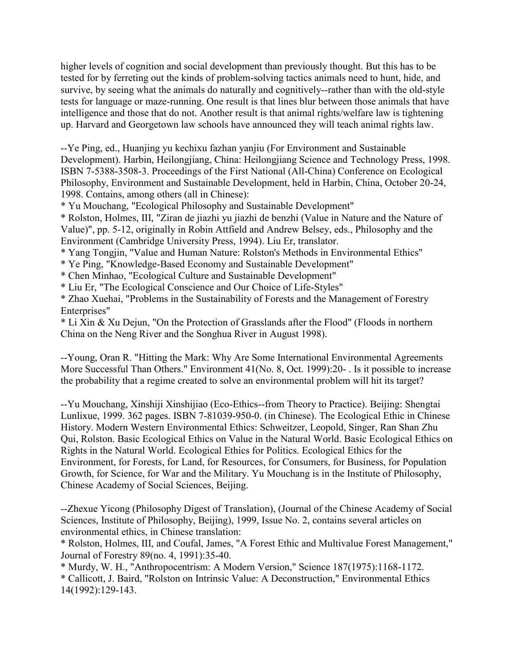higher levels of cognition and social development than previously thought. But this has to be tested for by ferreting out the kinds of problem-solving tactics animals need to hunt, hide, and survive, by seeing what the animals do naturally and cognitively--rather than with the old-style tests for language or maze-running. One result is that lines blur between those animals that have intelligence and those that do not. Another result is that animal rights/welfare law is tightening up. Harvard and Georgetown law schools have announced they will teach animal rights law.

--Ye Ping, ed., Huanjing yu kechixu fazhan yanjiu (For Environment and Sustainable Development). Harbin, Heilongjiang, China: Heilongjiang Science and Technology Press, 1998. ISBN 7-5388-3508-3. Proceedings of the First National (All-China) Conference on Ecological Philosophy, Environment and Sustainable Development, held in Harbin, China, October 20-24, 1998. Contains, among others (all in Chinese):

\* Yu Mouchang, "Ecological Philosophy and Sustainable Development"

\* Rolston, Holmes, III, "Ziran de jiazhi yu jiazhi de benzhi (Value in Nature and the Nature of Value)", pp. 5-12, originally in Robin Attfield and Andrew Belsey, eds., Philosophy and the Environment (Cambridge University Press, 1994). Liu Er, translator.

\* Yang Tongjin, "Value and Human Nature: Rolston's Methods in Environmental Ethics"

\* Ye Ping, "Knowledge-Based Economy and Sustainable Development"

\* Chen Minhao, "Ecological Culture and Sustainable Development"

\* Liu Er, "The Ecological Conscience and Our Choice of Life-Styles"

\* Zhao Xuehai, "Problems in the Sustainability of Forests and the Management of Forestry Enterprises"

\* Li Xin & Xu Dejun, "On the Protection of Grasslands after the Flood" (Floods in northern China on the Neng River and the Songhua River in August 1998).

--Young, Oran R. "Hitting the Mark: Why Are Some International Environmental Agreements More Successful Than Others." Environment 41(No. 8, Oct. 1999):20-. Is it possible to increase the probability that a regime created to solve an environmental problem will hit its target?

--Yu Mouchang, Xinshiji Xinshijiao (Eco-Ethics--from Theory to Practice). Beijing: Shengtai Lunlixue, 1999. 362 pages. ISBN 7-81039-950-0. (in Chinese). The Ecological Ethic in Chinese History. Modern Western Environmental Ethics: Schweitzer, Leopold, Singer, Ran Shan Zhu Qui, Rolston. Basic Ecological Ethics on Value in the Natural World. Basic Ecological Ethics on Rights in the Natural World. Ecological Ethics for Politics. Ecological Ethics for the Environment, for Forests, for Land, for Resources, for Consumers, for Business, for Population Growth, for Science, for War and the Military. Yu Mouchang is in the Institute of Philosophy, Chinese Academy of Social Sciences, Beijing.

--Zhexue Yicong (Philosophy Digest of Translation), (Journal of the Chinese Academy of Social Sciences, Institute of Philosophy, Beijing), 1999, Issue No. 2, contains several articles on environmental ethics, in Chinese translation:

\* Rolston, Holmes, III, and Coufal, James, "A Forest Ethic and Multivalue Forest Management," Journal of Forestry 89(no. 4, 1991):35-40.

\* Murdy, W. H., "Anthropocentrism: A Modern Version," Science 187(1975):1168-1172.

\* Callicott, J. Baird, "Rolston on Intrinsic Value: A Deconstruction," Environmental Ethics 14(1992):129-143.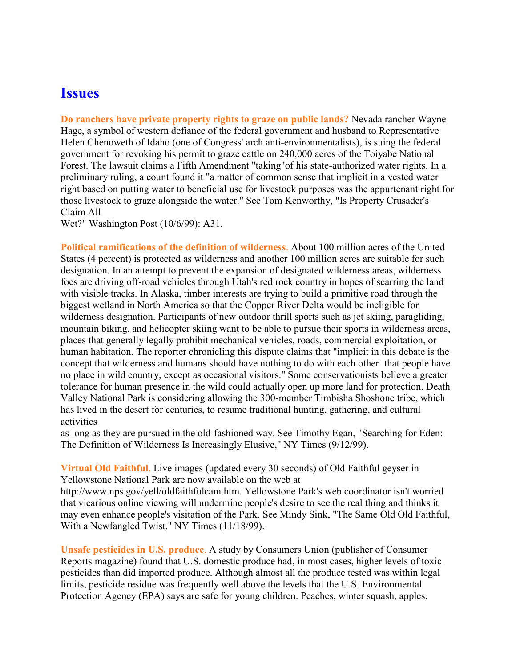### **Issues**

**Do ranchers have private property rights to graze on public lands?** Nevada rancher Wayne Hage, a symbol of western defiance of the federal government and husband to Representative Helen Chenoweth of Idaho (one of Congress' arch anti-environmentalists), is suing the federal government for revoking his permit to graze cattle on 240,000 acres of the Toiyabe National Forest. The lawsuit claims a Fifth Amendment "taking"of his state-authorized water rights. In a preliminary ruling, a count found it "a matter of common sense that implicit in a vested water right based on putting water to beneficial use for livestock purposes was the appurtenant right for those livestock to graze alongside the water." See Tom Kenworthy, "Is Property Crusader's Claim All

Wet?" Washington Post (10/6/99): A31.

**Political ramifications of the definition of wilderness**. About 100 million acres of the United States (4 percent) is protected as wilderness and another 100 million acres are suitable for such designation. In an attempt to prevent the expansion of designated wilderness areas, wilderness foes are driving off-road vehicles through Utah's red rock country in hopes of scarring the land with visible tracks. In Alaska, timber interests are trying to build a primitive road through the biggest wetland in North America so that the Copper River Delta would be ineligible for wilderness designation. Participants of new outdoor thrill sports such as jet skiing, paragliding, mountain biking, and helicopter skiing want to be able to pursue their sports in wilderness areas, places that generally legally prohibit mechanical vehicles, roads, commercial exploitation, or human habitation. The reporter chronicling this dispute claims that "implicit in this debate is the concept that wilderness and humans should have nothing to do with each other that people have no place in wild country, except as occasional visitors." Some conservationists believe a greater tolerance for human presence in the wild could actually open up more land for protection. Death Valley National Park is considering allowing the 300-member Timbisha Shoshone tribe, which has lived in the desert for centuries, to resume traditional hunting, gathering, and cultural activities

as long as they are pursued in the old-fashioned way. See Timothy Egan, "Searching for Eden: The Definition of Wilderness Is Increasingly Elusive," NY Times (9/12/99).

**Virtual Old Faithful**. Live images (updated every 30 seconds) of Old Faithful geyser in Yellowstone National Park are now available on the web at

http://www.nps.gov/yell/oldfaithfulcam.htm. Yellowstone Park's web coordinator isn't worried that vicarious online viewing will undermine people's desire to see the real thing and thinks it may even enhance people's visitation of the Park. See Mindy Sink, "The Same Old Old Faithful, With a Newfangled Twist," NY Times (11/18/99).

**Unsafe pesticides in U.S. produce**. A study by Consumers Union (publisher of Consumer Reports magazine) found that U.S. domestic produce had, in most cases, higher levels of toxic pesticides than did imported produce. Although almost all the produce tested was within legal limits, pesticide residue was frequently well above the levels that the U.S. Environmental Protection Agency (EPA) says are safe for young children. Peaches, winter squash, apples,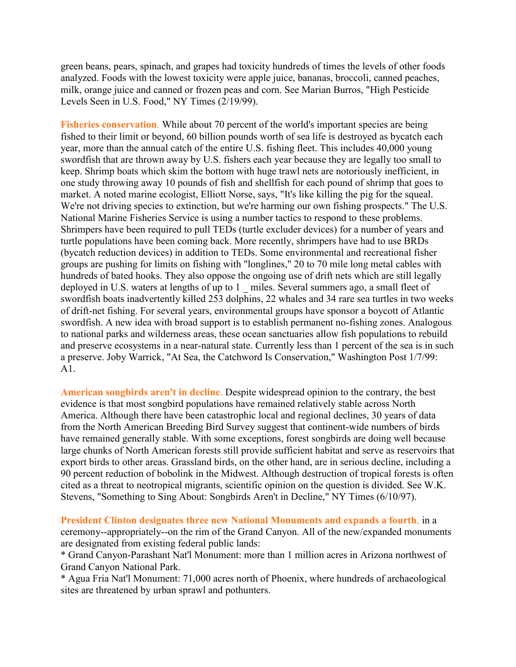green beans, pears, spinach, and grapes had toxicity hundreds of times the levels of other foods analyzed. Foods with the lowest toxicity were apple juice, bananas, broccoli, canned peaches, milk, orange juice and canned or frozen peas and corn. See Marian Burros, "High Pesticide Levels Seen in U.S. Food," NY Times (2/19/99).

Fisheries conservation. While about 70 percent of the world's important species are being fished to their limit or beyond, 60 billion pounds worth of sea life is destroyed as bycatch each year, more than the annual catch of the entire U.S. fishing fleet. This includes 40,000 young swordfish that are thrown away by U.S. fishers each year because they are legally too small to keep. Shrimp boats which skim the bottom with huge trawl nets are notoriously inefficient, in one study throwing away 10 pounds of fish and shellfish for each pound of shrimp that goes to market. A noted marine ecologist, Elliott Norse, says, "It's like killing the pig for the squeal. We're not driving species to extinction, but we're harming our own fishing prospects." The U.S. National Marine Fisheries Service is using a number tactics to respond to these problems. Shrimpers have been required to pull TEDs (turtle excluder devices) for a number of years and turtle populations have been coming back. More recently, shrimpers have had to use BRDs (bycatch reduction devices) in addition to TEDs. Some environmental and recreational fisher groups are pushing for limits on fishing with "longlines," 20 to 70 mile long metal cables with hundreds of bated hooks. They also oppose the ongoing use of drift nets which are still legally deployed in U.S. waters at lengths of up to 1 miles. Several summers ago, a small fleet of swordfish boats inadvertently killed 253 dolphins, 22 whales and 34 rare sea turtles in two weeks of drift-net fishing. For several years, environmental groups have sponsor a boycott of Atlantic swordfish. A new idea with broad support is to establish permanent no-fishing zones. Analogous to national parks and wilderness areas, these ocean sanctuaries allow fish populations to rebuild and preserve ecosystems in a near-natural state. Currently less than 1 percent of the sea is in such a preserve. Joby Warrick, "At Sea, the Catchword Is Conservation," Washington Post 1/7/99: A1.

**American songbirds aren't in decline**. Despite widespread opinion to the contrary, the best evidence is that most songbird populations have remained relatively stable across North America. Although there have been catastrophic local and regional declines, 30 years of data from the North American Breeding Bird Survey suggest that continent-wide numbers of birds have remained generally stable. With some exceptions, forest songbirds are doing well because large chunks of North American forests still provide sufficient habitat and serve as reservoirs that export birds to other areas. Grassland birds, on the other hand, are in serious decline, including a 90 percent reduction of bobolink in the Midwest. Although destruction of tropical forests is often cited as a threat to neotropical migrants, scientific opinion on the question is divided. See W.K. Stevens, "Something to Sing About: Songbirds Aren't in Decline," NY Times (6/10/97).

**President Clinton designates three new National Monuments and expands a fourth**, in a ceremony--appropriately--on the rim of the Grand Canyon. All of the new/expanded monuments are designated from existing federal public lands:

\* Grand Canyon-Parashant Nat'l Monument: more than 1 million acres in Arizona northwest of Grand Canyon National Park.

\* Agua Fria Nat'l Monument: 71,000 acres north of Phoenix, where hundreds of archaeological sites are threatened by urban sprawl and pothunters.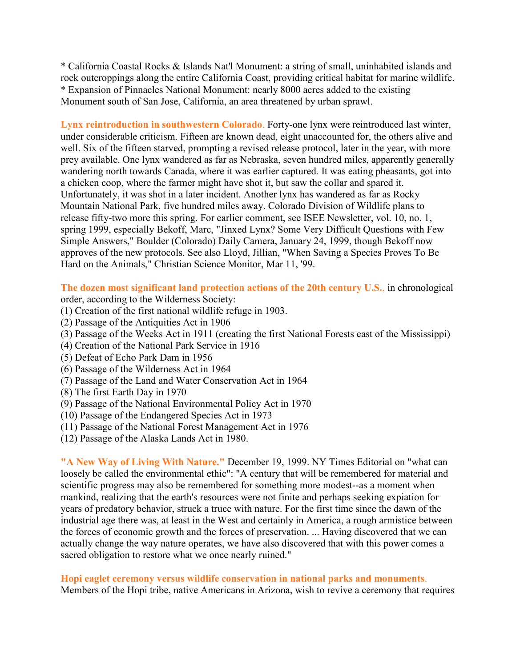\* California Coastal Rocks & Islands Nat'l Monument: a string of small, uninhabited islands and rock outcroppings along the entire California Coast, providing critical habitat for marine wildlife. \* Expansion of Pinnacles National Monument: nearly 8000 acres added to the existing Monument south of San Jose, California, an area threatened by urban sprawl.

**Lynx reintroduction in southwestern Colorado**. Forty-one lynx were reintroduced last winter, under considerable criticism. Fifteen are known dead, eight unaccounted for, the others alive and well. Six of the fifteen starved, prompting a revised release protocol, later in the year, with more prey available. One lynx wandered as far as Nebraska, seven hundred miles, apparently generally wandering north towards Canada, where it was earlier captured. It was eating pheasants, got into a chicken coop, where the farmer might have shot it, but saw the collar and spared it. Unfortunately, it was shot in a later incident. Another lynx has wandered as far as Rocky Mountain National Park, five hundred miles away. Colorado Division of Wildlife plans to release fifty-two more this spring. For earlier comment, see ISEE Newsletter, vol. 10, no. 1, spring 1999, especially Bekoff, Marc, "Jinxed Lynx? Some Very Difficult Questions with Few Simple Answers," Boulder (Colorado) Daily Camera, January 24, 1999, though Bekoff now approves of the new protocols. See also Lloyd, Jillian, "When Saving a Species Proves To Be Hard on the Animals," Christian Science Monitor, Mar 11, '99.

**The dozen most significant land protection actions of the 20th century U.S.**, in chronological order, according to the Wilderness Society:

- (1) Creation of the first national wildlife refuge in 1903.
- (2) Passage of the Antiquities Act in 1906
- (3) Passage of the Weeks Act in 1911 (creating the first National Forests east of the Mississippi)
- (4) Creation of the National Park Service in 1916
- (5) Defeat of Echo Park Dam in 1956
- (6) Passage of the Wilderness Act in 1964
- (7) Passage of the Land and Water Conservation Act in 1964
- (8) The first Earth Day in 1970
- (9) Passage of the National Environmental Policy Act in 1970
- (10) Passage of the Endangered Species Act in 1973
- (11) Passage of the National Forest Management Act in 1976
- (12) Passage of the Alaska Lands Act in 1980.

**"A New Way of Living With Nature."** December 19, 1999. NY Times Editorial on "what can loosely be called the environmental ethic": "A century that will be remembered for material and scientific progress may also be remembered for something more modest--as a moment when mankind, realizing that the earth's resources were not finite and perhaps seeking expiation for years of predatory behavior, struck a truce with nature. For the first time since the dawn of the industrial age there was, at least in the West and certainly in America, a rough armistice between the forces of economic growth and the forces of preservation. ... Having discovered that we can actually change the way nature operates, we have also discovered that with this power comes a sacred obligation to restore what we once nearly ruined."

#### **Hopi eaglet ceremony versus wildlife conservation in national parks and monuments**.

Members of the Hopi tribe, native Americans in Arizona, wish to revive a ceremony that requires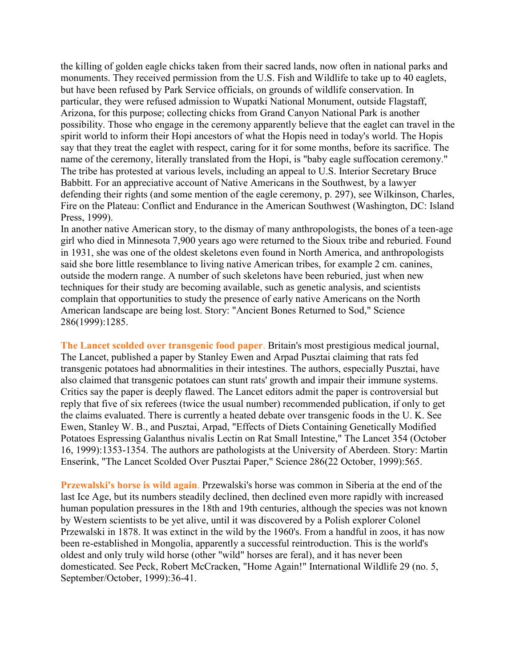the killing of golden eagle chicks taken from their sacred lands, now often in national parks and monuments. They received permission from the U.S. Fish and Wildlife to take up to 40 eaglets, but have been refused by Park Service officials, on grounds of wildlife conservation. In particular, they were refused admission to Wupatki National Monument, outside Flagstaff, Arizona, for this purpose; collecting chicks from Grand Canyon National Park is another possibility. Those who engage in the ceremony apparently believe that the eaglet can travel in the spirit world to inform their Hopi ancestors of what the Hopis need in today's world. The Hopis say that they treat the eaglet with respect, caring for it for some months, before its sacrifice. The name of the ceremony, literally translated from the Hopi, is "baby eagle suffocation ceremony." The tribe has protested at various levels, including an appeal to U.S. Interior Secretary Bruce Babbitt. For an appreciative account of Native Americans in the Southwest, by a lawyer defending their rights (and some mention of the eagle ceremony, p. 297), see Wilkinson, Charles, Fire on the Plateau: Conflict and Endurance in the American Southwest (Washington, DC: Island Press, 1999).

In another native American story, to the dismay of many anthropologists, the bones of a teen-age girl who died in Minnesota 7,900 years ago were returned to the Sioux tribe and reburied. Found in 1931, she was one of the oldest skeletons even found in North America, and anthropologists said she bore little resemblance to living native American tribes, for example 2 cm. canines, outside the modern range. A number of such skeletons have been reburied, just when new techniques for their study are becoming available, such as genetic analysis, and scientists complain that opportunities to study the presence of early native Americans on the North American landscape are being lost. Story: "Ancient Bones Returned to Sod," Science 286(1999):1285.

**The Lancet scolded over transgenic food paper**. Britain's most prestigious medical journal, The Lancet, published a paper by Stanley Ewen and Arpad Pusztai claiming that rats fed transgenic potatoes had abnormalities in their intestines. The authors, especially Pusztai, have also claimed that transgenic potatoes can stunt rats' growth and impair their immune systems. Critics say the paper is deeply flawed. The Lancet editors admit the paper is controversial but reply that five of six referees (twice the usual number) recommended publication, if only to get the claims evaluated. There is currently a heated debate over transgenic foods in the U. K. See Ewen, Stanley W. B., and Pusztai, Arpad, "Effects of Diets Containing Genetically Modified Potatoes Espressing Galanthus nivalis Lectin on Rat Small Intestine," The Lancet 354 (October 16, 1999):1353-1354. The authors are pathologists at the University of Aberdeen. Story: Martin Enserink, "The Lancet Scolded Over Pusztai Paper," Science 286(22 October, 1999):565.

**Przewalski's horse is wild again**. Przewalski's horse was common in Siberia at the end of the last Ice Age, but its numbers steadily declined, then declined even more rapidly with increased human population pressures in the 18th and 19th centuries, although the species was not known by Western scientists to be yet alive, until it was discovered by a Polish explorer Colonel Przewalski in 1878. It was extinct in the wild by the 1960's. From a handful in zoos, it has now been re-established in Mongolia, apparently a successful reintroduction. This is the world's oldest and only truly wild horse (other "wild" horses are feral), and it has never been domesticated. See Peck, Robert McCracken, "Home Again!" International Wildlife 29 (no. 5, September/October, 1999):36-41.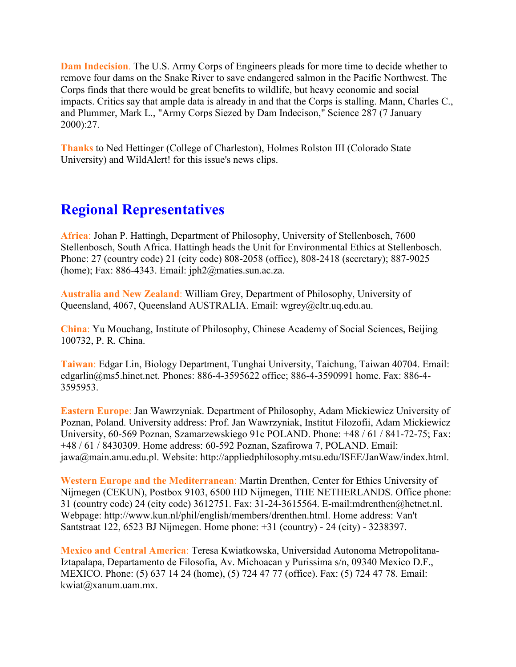**Dam Indecision**. The U.S. Army Corps of Engineers pleads for more time to decide whether to remove four dams on the Snake River to save endangered salmon in the Pacific Northwest. The Corps finds that there would be great benefits to wildlife, but heavy economic and social impacts. Critics say that ample data is already in and that the Corps is stalling. Mann, Charles C., and Plummer, Mark L., "Army Corps Siezed by Dam Indecison," Science 287 (7 January 2000):27.

**Thanks** to Ned Hettinger (College of Charleston), Holmes Rolston III (Colorado State University) and WildAlert! for this issue's news clips.

## **Regional Representatives**

**Africa**: Johan P. Hattingh, Department of Philosophy, University of Stellenbosch, 7600 Stellenbosch, South Africa. Hattingh heads the Unit for Environmental Ethics at Stellenbosch. Phone: 27 (country code) 21 (city code) 808-2058 (office), 808-2418 (secretary); 887-9025 (home); Fax: 886-4343. Email: jph2@maties.sun.ac.za.

**Australia and New Zealand**: William Grey, Department of Philosophy, University of Queensland, 4067, Queensland AUSTRALIA. Email: wgrey@cltr.uq.edu.au.

**China**: Yu Mouchang, Institute of Philosophy, Chinese Academy of Social Sciences, Beijing 100732, P. R. China.

**Taiwan**: Edgar Lin, Biology Department, Tunghai University, Taichung, Taiwan 40704. Email: edgarlin@ms5.hinet.net. Phones: 886-4-3595622 office; 886-4-3590991 home. Fax: 886-4- 3595953.

**Eastern Europe**: Jan Wawrzyniak. Department of Philosophy, Adam Mickiewicz University of Poznan, Poland. University address: Prof. Jan Wawrzyniak, Institut Filozofii, Adam Mickiewicz University, 60-569 Poznan, Szamarzewskiego 91c POLAND. Phone: +48 / 61 / 841-72-75; Fax: +48 / 61 / 8430309. Home address: 60-592 Poznan, Szafirowa 7, POLAND. Email: jawa@main.amu.edu.pl. Website: http://appliedphilosophy.mtsu.edu/ISEE/JanWaw/index.html.

**Western Europe and the Mediterranean**: Martin Drenthen, Center for Ethics University of Nijmegen (CEKUN), Postbox 9103, 6500 HD Nijmegen, THE NETHERLANDS. Office phone: 31 (country code) 24 (city code) 3612751. Fax: 31-24-3615564. E-mail:mdrenthen@hetnet.nl. Webpage: http://www.kun.nl/phil/english/members/drenthen.html. Home address: Van't Santstraat 122, 6523 BJ Nijmegen. Home phone: +31 (country) - 24 (city) - 3238397.

**Mexico and Central America**: Teresa Kwiatkowska, Universidad Autonoma Metropolitana-Iztapalapa, Departamento de Filosofia, Av. Michoacan y Purissima s/n, 09340 Mexico D.F., MEXICO. Phone: (5) 637 14 24 (home), (5) 724 47 77 (office). Fax: (5) 724 47 78. Email: kwiat@xanum.uam.mx.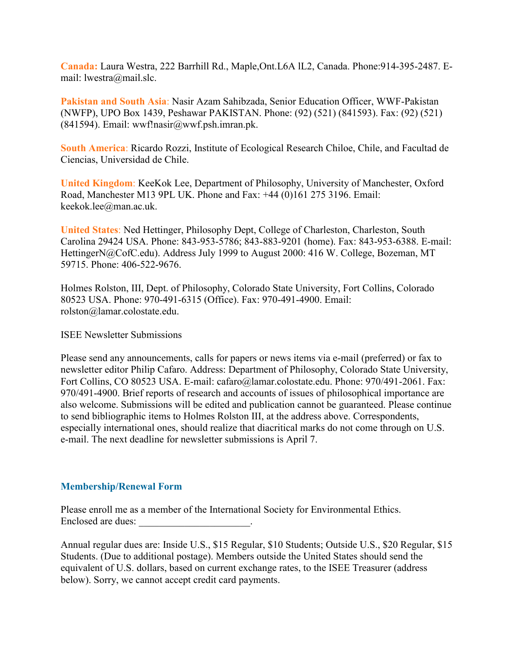**Canada:** Laura Westra, 222 Barrhill Rd., Maple,Ont.L6A lL2, Canada. Phone:914-395-2487. Email: lwestra@mail.slc.

**Pakistan and South Asia**: Nasir Azam Sahibzada, Senior Education Officer, WWF-Pakistan (NWFP), UPO Box 1439, Peshawar PAKISTAN. Phone: (92) (521) (841593). Fax: (92) (521) (841594). Email: wwf!nasir@wwf.psh.imran.pk.

**South America**: Ricardo Rozzi, Institute of Ecological Research Chiloe, Chile, and Facultad de Ciencias, Universidad de Chile.

**United Kingdom**: KeeKok Lee, Department of Philosophy, University of Manchester, Oxford Road, Manchester M13 9PL UK. Phone and Fax: +44 (0)161 275 3196. Email: keekok.lee@man.ac.uk.

**United States**: Ned Hettinger, Philosophy Dept, College of Charleston, Charleston, South Carolina 29424 USA. Phone: 843-953-5786; 843-883-9201 (home). Fax: 843-953-6388. E-mail: HettingerN@CofC.edu). Address July 1999 to August 2000: 416 W. College, Bozeman, MT 59715. Phone: 406-522-9676.

Holmes Rolston, III, Dept. of Philosophy, Colorado State University, Fort Collins, Colorado 80523 USA. Phone: 970-491-6315 (Office). Fax: 970-491-4900. Email: rolston@lamar.colostate.edu.

ISEE Newsletter Submissions

Please send any announcements, calls for papers or news items via e-mail (preferred) or fax to newsletter editor Philip Cafaro. Address: Department of Philosophy, Colorado State University, Fort Collins, CO 80523 USA. E-mail: cafaro@lamar.colostate.edu. Phone: 970/491-2061. Fax: 970/491-4900. Brief reports of research and accounts of issues of philosophical importance are also welcome. Submissions will be edited and publication cannot be guaranteed. Please continue to send bibliographic items to Holmes Rolston III, at the address above. Correspondents, especially international ones, should realize that diacritical marks do not come through on U.S. e-mail. The next deadline for newsletter submissions is April 7.

#### **Membership/Renewal Form**

Please enroll me as a member of the International Society for Environmental Ethics. Enclosed are dues:

Annual regular dues are: Inside U.S., \$15 Regular, \$10 Students; Outside U.S., \$20 Regular, \$15 Students. (Due to additional postage). Members outside the United States should send the equivalent of U.S. dollars, based on current exchange rates, to the ISEE Treasurer (address below). Sorry, we cannot accept credit card payments.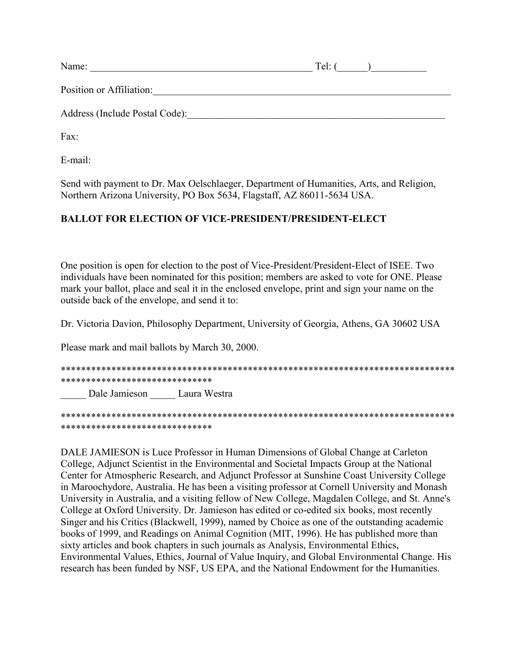| Name:                          | Tel: |
|--------------------------------|------|
| Position or Affiliation:       |      |
| Address (Include Postal Code): |      |
|                                |      |

Fax:

E-mail:

Send with payment to Dr. Max Oelschlaeger, Department of Humanities, Arts, and Religion, Northern Arizona University, PO Box 5634, Flagstaff, AZ 86011-5634 USA.

#### **BALLOT FOR ELECTION OF VICE-PRESIDENT/PRESIDENT-ELECT**

One position is open for election to the post of Vice-President/President-Elect of ISEE. Two individuals have been nominated for this position; members are asked to vote for ONE. Please mark your ballot, place and seal it in the enclosed envelope, print and sign your name on the outside back of the envelope, and send it to:

Dr. Victoria Davion, Philosophy Department, University of Georgia, Athens, GA 30602 USA

Please mark and mail ballots by March 30, 2000.

\*\*\*\*\*\*\*\*\*\*\*\*\*\*\*\*\*\*\*\*\*\*\*\*\*\*\*\*\*\*\*\*\*\*\*\*\*\*\*\*\*\*\*\*\*\*\*\*\*\*\*\*\*\*\*\*\*\*\*\*\*\*\*\*\*\*\*\*\*\*\*\*\*\*\*\*\*\* \*\*\*\*\*\*\*\*\*\*\*\*\*\*\*\*\*\*\*\*\*\*\*\*\*\*\*\*\*\* Dale Jamieson Laura Westra

\*\*\*\*\*\*\*\*\*\*\*\*\*\*\*\*\*\*\*\*\*\*\*\*\*\*\*\*\*\*\*\*\*\*\*\*\*\*\*\*\*\*\*\*\*\*\*\*\*\*\*\*\*\*\*\*\*\*\*\*\*\*\*\*\*\*\*\*\*\*\*\*\*\*\*\*\*\* \*\*\*\*\*\*\*\*\*\*\*\*\*\*\*\*\*\*\*\*\*\*\*\*\*\*\*\*\*\*

DALE JAMIESON is Luce Professor in Human Dimensions of Global Change at Carleton College, Adjunct Scientist in the Environmental and Societal Impacts Group at the National Center for Atmospheric Research, and Adjunct Professor at Sunshine Coast University College in Maroochydore, Australia. He has been a visiting professor at Cornell University and Monash University in Australia, and a visiting fellow of New College, Magdalen College, and St. Anne's College at Oxford University. Dr. Jamieson has edited or co-edited six books, most recently Singer and his Critics (Blackwell, 1999), named by Choice as one of the outstanding academic books of 1999, and Readings on Animal Cognition (MIT, 1996). He has published more than sixty articles and book chapters in such journals as Analysis, Environmental Ethics, Environmental Values, Ethics, Journal of Value Inquiry, and Global Environmental Change. His research has been funded by NSF, US EPA, and the National Endowment for the Humanities.